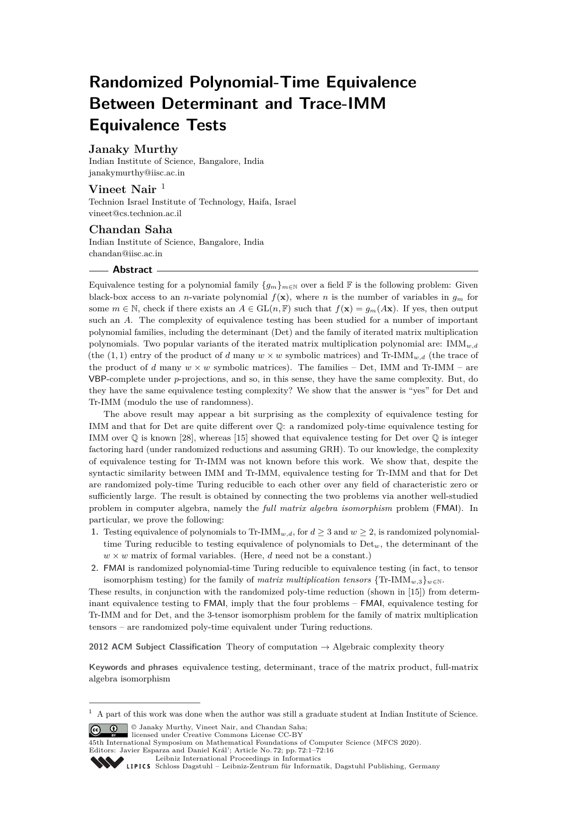# **Randomized Polynomial-Time Equivalence Between Determinant and Trace-IMM Equivalence Tests**

## **Janaky Murthy**

Indian Institute of Science, Bangalore, India [janakymurthy@iisc.ac.in](mailto:janakymurthy@iisc.ac.in)

# **Vineet Nair** <sup>1</sup>

Technion Israel Institute of Technology, Haifa, Israel [vineet@cs.technion.ac.il](mailto:vineet@cs.technion.ac.il)

## **Chandan Saha**

Indian Institute of Science, Bangalore, India [chandan@iisc.ac.in](mailto:chandan@iisc.ac.in)

#### **Abstract**

Equivalence testing for a polynomial family  ${g_m}_{m \in \mathbb{N}}$  over a field F is the following problem: Given black-box access to an *n*-variate polynomial  $f(\mathbf{x})$ , where *n* is the number of variables in  $g_m$  for some  $m \in \mathbb{N}$ , check if there exists an  $A \in GL(n, \mathbb{F})$  such that  $f(\mathbf{x}) = g_m(A\mathbf{x})$ . If yes, then output such an *A*. The complexity of equivalence testing has been studied for a number of important polynomial families, including the determinant (Det) and the family of iterated matrix multiplication polynomials. Two popular variants of the iterated matrix multiplication polynomial are: IMM*w,d* (the (1, 1) entry of the product of *d* many  $w \times w$  symbolic matrices) and Tr-IMM<sub>*w*,*d*</sub> (the trace of the product of *d* many  $w \times w$  symbolic matrices). The families – Det, IMM and Tr-IMM – are VBP-complete under *p*-projections, and so, in this sense, they have the same complexity. But, do they have the same equivalence testing complexity? We show that the answer is "yes" for Det and Tr-IMM (modulo the use of randomness).

The above result may appear a bit surprising as the complexity of equivalence testing for IMM and that for Det are quite different over Q: a randomized poly-time equivalence testing for IMM over Q is known [\[28\]](#page-14-0), whereas [\[15\]](#page-14-1) showed that equivalence testing for Det over Q is integer factoring hard (under randomized reductions and assuming GRH). To our knowledge, the complexity of equivalence testing for Tr-IMM was not known before this work. We show that, despite the syntactic similarity between IMM and Tr-IMM, equivalence testing for Tr-IMM and that for Det are randomized poly-time Turing reducible to each other over any field of characteristic zero or sufficiently large. The result is obtained by connecting the two problems via another well-studied problem in computer algebra, namely the *full matrix algebra isomorphism* problem (FMAI). In particular, we prove the following:

- **1.** Testing equivalence of polynomials to Tr-IMM<sub>*w,d*</sub>, for  $d \geq 3$  and  $w \geq 2$ , is randomized polynomialtime Turing reducible to testing equivalence of polynomials to Det*w*, the determinant of the  $w \times w$  matrix of formal variables. (Here, *d* need not be a constant.)
- **2.** FMAI is randomized polynomial-time Turing reducible to equivalence testing (in fact, to tensor isomorphism testing) for the family of *matrix multiplication tensors*  $\{Tr\text{-}IMM_{w,3}\}_{w \in \mathbb{N}}$ .

These results, in conjunction with the randomized poly-time reduction (shown in [\[15\]](#page-14-1)) from determinant equivalence testing to FMAI, imply that the four problems – FMAI, equivalence testing for Tr-IMM and for Det, and the 3-tensor isomorphism problem for the family of matrix multiplication tensors – are randomized poly-time equivalent under Turing reductions.

**2012 ACM Subject Classification** Theory of computation → Algebraic complexity theory

**Keywords and phrases** equivalence testing, determinant, trace of the matrix product, full-matrix algebra isomorphism

licensed under Creative Commons License CC-BY

 $^{\rm 1}$  A part of this work was done when the author was still a graduate student at Indian Institute of Science. **c**  $\bullet$   $\bullet$  Janaky Murthy, Vineet Nair, and Chandan Saha:

<sup>45</sup>th International Symposium on Mathematical Foundations of Computer Science (MFCS 2020). Editors: Javier Esparza and Daniel Král'; Article No. 72; pp. 72:1–72[:16](#page-15-0)

[Leibniz International Proceedings in Informatics](https://www.dagstuhl.de/lipics/)

[Schloss Dagstuhl – Leibniz-Zentrum für Informatik, Dagstuhl Publishing, Germany](https://www.dagstuhl.de)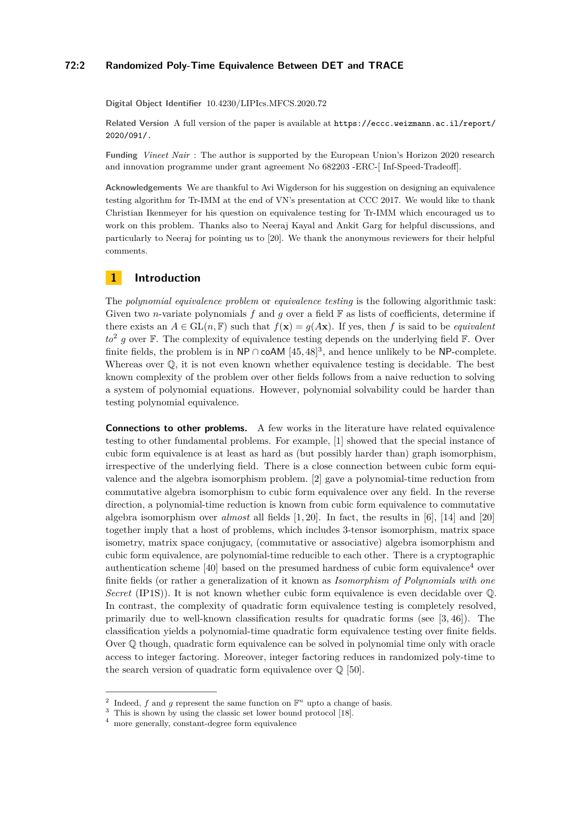## **72:2 Randomized Poly-Time Equivalence Between DET and TRACE**

**Digital Object Identifier** [10.4230/LIPIcs.MFCS.2020.72](https://doi.org/10.4230/LIPIcs.MFCS.2020.72)

**Related Version** A full version of the paper is available at [https://eccc.weizmann.ac.il/report/](https://eccc.weizmann.ac.il/report/2020/091/.) [2020/091/.](https://eccc.weizmann.ac.il/report/2020/091/.)

**Funding** *Vineet Nair* : The author is supported by the European Union's Horizon 2020 research and innovation programme under grant agreement No 682203 -ERC-[ Inf-Speed-Tradeoff].

**Acknowledgements** We are thankful to Avi Wigderson for his suggestion on designing an equivalence testing algorithm for Tr-IMM at the end of VN's presentation at CCC 2017. We would like to thank Christian Ikenmeyer for his question on equivalence testing for Tr-IMM which encouraged us to work on this problem. Thanks also to Neeraj Kayal and Ankit Garg for helpful discussions, and particularly to Neeraj for pointing us to [\[20\]](#page-14-2). We thank the anonymous reviewers for their helpful comments.

## **1 Introduction**

The *polynomial equivalence problem* or *equivalence testing* is the following algorithmic task: Given two *n*-variate polynomials  $f$  and  $q$  over a field  $\mathbb F$  as lists of coefficients, determine if there exists an  $A \in GL(n, \mathbb{F})$  such that  $f(\mathbf{x}) = g(A\mathbf{x})$ . If yes, then f is said to be *equivalent*  $to^2$  $to^2$  g over  $\mathbb F$ . The complexity of equivalence testing depends on the underlying field  $\mathbb F$ . Over finite fields, the problem is in  $\mathsf{NP} \cap \mathsf{coAM}$  [\[45,](#page-15-1)48]<sup>[3](#page-1-1)</sup>, and hence unlikely to be  $\mathsf{NP}$ -complete. Whereas over  $\mathbb{Q}$ , it is not even known whether equivalence testing is decidable. The best known complexity of the problem over other fields follows from a naive reduction to solving a system of polynomial equations. However, polynomial solvability could be harder than testing polynomial equivalence.

**Connections to other problems.** A few works in the literature have related equivalence testing to other fundamental problems. For example, [\[1\]](#page-13-0) showed that the special instance of cubic form equivalence is at least as hard as (but possibly harder than) graph isomorphism, irrespective of the underlying field. There is a close connection between cubic form equivalence and the algebra isomorphism problem. [\[2\]](#page-13-1) gave a polynomial-time reduction from commutative algebra isomorphism to cubic form equivalence over any field. In the reverse direction, a polynomial-time reduction is known from cubic form equivalence to commutative algebra isomorphism over *almost* all fields [\[1,](#page-13-0) [20\]](#page-14-2). In fact, the results in [\[6\]](#page-13-2), [\[14\]](#page-14-3) and [\[20\]](#page-14-2) together imply that a host of problems, which includes 3-tensor isomorphism, matrix space isometry, matrix space conjugacy, (commutative or associative) algebra isomorphism and cubic form equivalence, are polynomial-time reducible to each other. There is a cryptographic authentication scheme  $[40]$  based on the presumed hardness of cubic form equivalence<sup>[4](#page-1-2)</sup> over finite fields (or rather a generalization of it known as *Isomorphism of Polynomials with one Secret* (IP1S)). It is not known whether cubic form equivalence is even decidable over Q. In contrast, the complexity of quadratic form equivalence testing is completely resolved, primarily due to well-known classification results for quadratic forms (see [\[3,](#page-13-3) [46\]](#page-15-4)). The classification yields a polynomial-time quadratic form equivalence testing over finite fields. Over Q though, quadratic form equivalence can be solved in polynomial time only with oracle access to integer factoring. Moreover, integer factoring reduces in randomized poly-time to the search version of quadratic form equivalence over  $\mathbb{Q}$  [\[50\]](#page-15-5).

<span id="page-1-0"></span><sup>&</sup>lt;sup>2</sup> Indeed, *f* and *g* represent the same function on  $\mathbb{F}^n$  upto a change of basis.

<span id="page-1-1"></span><sup>&</sup>lt;sup>3</sup> This is shown by using the classic set lower bound protocol [\[18\]](#page-14-4).

<span id="page-1-2"></span><sup>4</sup> more generally, constant-degree form equivalence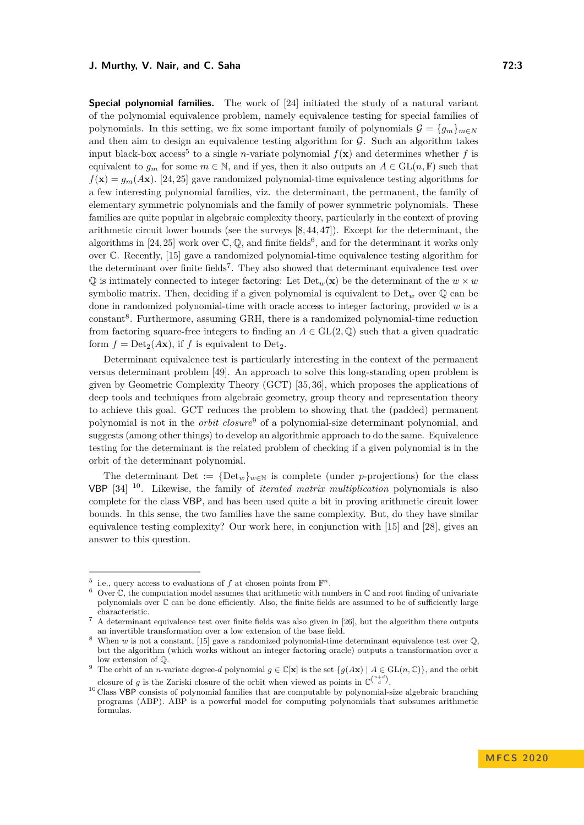**Special polynomial families.** The work of [\[24\]](#page-14-5) initiated the study of a natural variant of the polynomial equivalence problem, namely equivalence testing for special families of

polynomials. In this setting, we fix some important family of polynomials  $\mathcal{G} = \{q_m\}_{m \in \mathbb{N}}$ and then aim to design an equivalence testing algorithm for  $G$ . Such an algorithm takes input black-box access<sup>[5](#page-2-0)</sup> to a single *n*-variate polynomial  $f(\mathbf{x})$  and determines whether f is equivalent to  $q_m$  for some  $m \in \mathbb{N}$ , and if yes, then it also outputs an  $A \in GL(n, \mathbb{F})$  such that  $f(\mathbf{x}) = g_m(A\mathbf{x})$ . [\[24,](#page-14-5) [25\]](#page-14-6) gave randomized polynomial-time equivalence testing algorithms for a few interesting polynomial families, viz. the determinant, the permanent, the family of elementary symmetric polynomials and the family of power symmetric polynomials. These families are quite popular in algebraic complexity theory, particularly in the context of proving arithmetic circuit lower bounds (see the surveys [\[8,](#page-13-4) [44,](#page-15-6) [47\]](#page-15-7)). Except for the determinant, the algorithms in [\[24,](#page-14-5) [25\]](#page-14-6) work over  $\mathbb{C}, \mathbb{Q}$ , and finite fields<sup>[6](#page-2-1)</sup>, and for the determinant it works only over C. Recently, [\[15\]](#page-14-1) gave a randomized polynomial-time equivalence testing algorithm for the determinant over finite fields<sup>[7](#page-2-2)</sup>. They also showed that determinant equivalence test over  $\mathbb{Q}$  is intimately connected to integer factoring: Let  $\text{Det}_{w}(\mathbf{x})$  be the determinant of the  $w \times w$ symbolic matrix. Then, deciding if a given polynomial is equivalent to  $Det_w$  over  $\mathbb{Q}$  can be done in randomized polynomial-time with oracle access to integer factoring, provided *w* is a constant<sup>[8](#page-2-3)</sup>. Furthermore, assuming GRH, there is a randomized polynomial-time reduction from factoring square-free integers to finding an  $A \in GL(2,\mathbb{Q})$  such that a given quadratic form  $f = Det_2(Ax)$ , if f is equivalent to Det<sub>2</sub>.

Determinant equivalence test is particularly interesting in the context of the permanent versus determinant problem [\[49\]](#page-15-8). An approach to solve this long-standing open problem is given by Geometric Complexity Theory (GCT) [\[35,](#page-15-9) [36\]](#page-15-10), which proposes the applications of deep tools and techniques from algebraic geometry, group theory and representation theory to achieve this goal. GCT reduces the problem to showing that the (padded) permanent polynomial is not in the *orbit closure*[9](#page-2-4) of a polynomial-size determinant polynomial, and suggests (among other things) to develop an algorithmic approach to do the same. Equivalence testing for the determinant is the related problem of checking if a given polynomial is in the orbit of the determinant polynomial.

The determinant Det :=  ${Det_w}_{w \in N}$  is complete (under *p*-projections) for the class VBP [\[34\]](#page-15-11) [10](#page-2-5). Likewise, the family of *iterated matrix multiplication* polynomials is also complete for the class VBP, and has been used quite a bit in proving arithmetic circuit lower bounds. In this sense, the two families have the same complexity. But, do they have similar equivalence testing complexity? Our work here, in conjunction with [\[15\]](#page-14-1) and [\[28\]](#page-14-0), gives an answer to this question.

<span id="page-2-0"></span><sup>&</sup>lt;sup>5</sup> i.e., query access to evaluations of f at chosen points from  $\mathbb{F}^n$ .

<span id="page-2-1"></span> $6$  Over  $\mathbb C$ , the computation model assumes that arithmetic with numbers in  $\mathbb C$  and root finding of univariate polynomials over C can be done efficiently. Also, the finite fields are assumed to be of sufficiently large characteristic.

<span id="page-2-2"></span><sup>7</sup> A determinant equivalence test over finite fields was also given in [\[26\]](#page-14-7), but the algorithm there outputs an invertible transformation over a low extension of the base field.

<span id="page-2-3"></span><sup>&</sup>lt;sup>8</sup> When *w* is not a constant, [\[15\]](#page-14-1) gave a randomized polynomial-time determinant equivalence test over  $\mathbb{Q}$ , but the algorithm (which works without an integer factoring oracle) outputs a transformation over a low extension of Q.

<span id="page-2-4"></span><sup>&</sup>lt;sup>9</sup> The orbit of an *n*-variate degree-*d* polynomial  $g \in \mathbb{C}[\mathbf{x}]$  is the set  $\{g(A\mathbf{x}) \mid A \in \mathrm{GL}(n,\mathbb{C})\}$ , and the orbit closure of *g* is the Zariski closure of the orbit when viewed as points in  $\mathbb{C}^{\binom{n+d}{d}}$ .

<span id="page-2-5"></span> $10$  Class VBP consists of polynomial families that are computable by polynomial-size algebraic branching programs (ABP). ABP is a powerful model for computing polynomials that subsumes arithmetic formulas.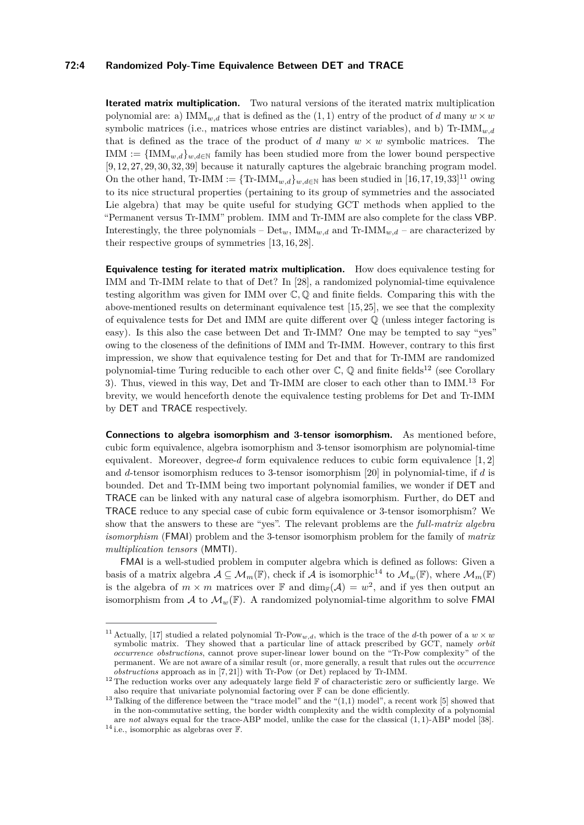#### **72:4 Randomized Poly-Time Equivalence Between DET and TRACE**

**Iterated matrix multiplication.** Two natural versions of the iterated matrix multiplication polynomial are: a)  $IMM<sub>w,d</sub>$  that is defined as the (1, 1) entry of the product of *d* many  $w \times w$ symbolic matrices (i.e., matrices whose entries are distinct variables), and b)  $\text{Tr-IMM}_{w,d}$ that is defined as the trace of the product of *d* many  $w \times w$  symbolic matrices. The IMM :=  $\{IMM_{w,d}\}_{w,d\in\mathbb{N}}$  family has been studied more from the lower bound perspective [\[9,](#page-13-5) [12,](#page-14-8) [27,](#page-14-9) [29,](#page-14-10) [30,](#page-15-12) [32,](#page-15-13) [39\]](#page-15-14) because it naturally captures the algebraic branching program model. On the other hand, Tr-IMM :=  $\{Tr\text{-IMM}_{w,d}\}_{w,d\in\mathbb{N}}$  has been studied in  $[16,17,19,33]^{11}$  $[16,17,19,33]^{11}$  $[16,17,19,33]^{11}$  $[16,17,19,33]^{11}$  $[16,17,19,33]^{11}$  $[16,17,19,33]^{11}$  $[16,17,19,33]^{11}$  owing to its nice structural properties (pertaining to its group of symmetries and the associated Lie algebra) that may be quite useful for studying GCT methods when applied to the "Permanent versus Tr-IMM" problem. IMM and Tr-IMM are also complete for the class VBP. Interestingly, the three polynomials –  $Det_w$ ,  $IMM_{w,d}$  and Tr-IMM<sub>w,d</sub> – are characterized by their respective groups of symmetries [\[13,](#page-14-14) [16,](#page-14-11) [28\]](#page-14-0).

**Equivalence testing for iterated matrix multiplication.** How does equivalence testing for IMM and Tr-IMM relate to that of Det? In [\[28\]](#page-14-0), a randomized polynomial-time equivalence testing algorithm was given for IMM over C*,* Q and finite fields. Comparing this with the above-mentioned results on determinant equivalence test [\[15,](#page-14-1) [25\]](#page-14-6), we see that the complexity of equivalence tests for Det and IMM are quite different over Q (unless integer factoring is easy). Is this also the case between Det and Tr-IMM? One may be tempted to say "yes" owing to the closeness of the definitions of IMM and Tr-IMM. However, contrary to this first impression, we show that equivalence testing for Det and that for Tr-IMM are randomized polynomial-time Turing reducible to each other over  $\mathbb{C}$ ,  $\mathbb{O}$  and finite fields<sup>[12](#page-3-1)</sup> (see Corollary [3\)](#page-5-0). Thus, viewed in this way, Det and Tr-IMM are closer to each other than to IMM. [13](#page-3-2) For brevity, we would henceforth denote the equivalence testing problems for Det and Tr-IMM by DET and TRACE respectively.

**Connections to algebra isomorphism and 3-tensor isomorphism.** As mentioned before, cubic form equivalence, algebra isomorphism and 3-tensor isomorphism are polynomial-time equivalent. Moreover, degree-*d* form equivalence reduces to cubic form equivalence [\[1,](#page-13-0) [2\]](#page-13-1) and *d*-tensor isomorphism reduces to 3-tensor isomorphism [\[20\]](#page-14-2) in polynomial-time, if *d* is bounded. Det and Tr-IMM being two important polynomial families, we wonder if DET and TRACE can be linked with any natural case of algebra isomorphism. Further, do DET and TRACE reduce to any special case of cubic form equivalence or 3-tensor isomorphism? We show that the answers to these are "yes". The relevant problems are the *full-matrix algebra isomorphism* (FMAI) problem and the 3-tensor isomorphism problem for the family of *matrix multiplication tensors* (MMTI).

FMAI is a well-studied problem in computer algebra which is defined as follows: Given a basis of a matrix algebra  $A \subseteq \mathcal{M}_m(\mathbb{F})$ , check if A is isomorphic<sup>[14](#page-3-3)</sup> to  $\mathcal{M}_m(\mathbb{F})$ , where  $\mathcal{M}_m(\mathbb{F})$ is the algebra of  $m \times m$  matrices over **F** and  $\dim_{\mathbb{F}}(\mathcal{A}) = w^2$ , and if yes then output an isomorphism from A to  $\mathcal{M}_w(\mathbb{F})$ . A randomized polynomial-time algorithm to solve FMAI

<span id="page-3-0"></span><sup>&</sup>lt;sup>11</sup> Actually, [\[17\]](#page-14-12) studied a related polynomial Tr-Pow<sub>w,d</sub>, which is the trace of the *d*-th power of a  $w \times w$ symbolic matrix. They showed that a particular line of attack prescribed by GCT, namely *orbit occurrence obstructions*, cannot prove super-linear lower bound on the "Tr-Pow complexity" of the permanent. We are not aware of a similar result (or, more generally, a result that rules out the *occurrence obstructions* approach as in [\[7,](#page-13-6) [21\]](#page-14-15)) with Tr-Pow (or Det) replaced by Tr-IMM.

<span id="page-3-1"></span><sup>&</sup>lt;sup>12</sup> The reduction works over any adequately large field  $\mathbb F$  of characteristic zero or sufficiently large. We also require that univariate polynomial factoring over  $\mathbb F$  can be done efficiently.

<span id="page-3-2"></span><sup>&</sup>lt;sup>13</sup> Talking of the difference between the "trace model" and the " $(1,1)$  model", a recent work [\[5\]](#page-13-7) showed that in the non-commutative setting, the border width complexity and the width complexity of a polynomial are *not* always equal for the trace-ABP model, unlike the case for the classical (1*,* 1)-ABP model [\[38\]](#page-15-16).

<span id="page-3-3"></span> $^{14}$  i.e., isomorphic as algebras over  ${\mathbb F}.$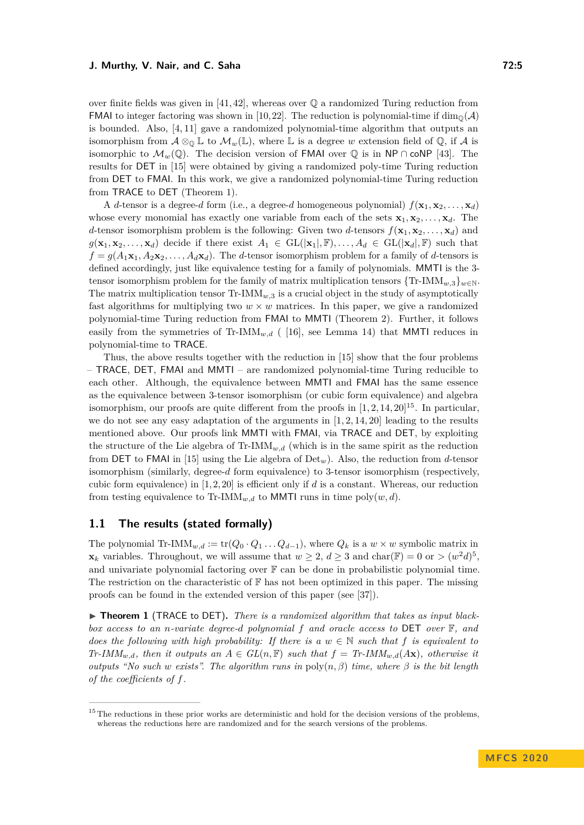over finite fields was given in  $[41, 42]$  $[41, 42]$ , whereas over  $\mathbb Q$  a randomized Turing reduction from **FMAI** to integer factoring was shown in [\[10,](#page-13-8) [22\]](#page-14-16). The reduction is polynomial-time if  $\dim_{\mathbb{Q}}(\mathcal{A})$ is bounded. Also,  $[4, 11]$  $[4, 11]$  gave a randomized polynomial-time algorithm that outputs an isomorphism from  $\mathcal{A} \otimes_{\mathbb{Q}} \mathbb{L}$  to  $\mathcal{M}_w(\mathbb{L})$ , where  $\mathbb{L}$  is a degree w extension field of  $\mathbb{Q}$ , if  $\mathcal{A}$  is isomorphic to  $\mathcal{M}_w(\mathbb{Q})$ . The decision version of FMAI over  $\mathbb{Q}$  is in NP ∩ coNP [\[43\]](#page-15-19). The results for DET in [\[15\]](#page-14-1) were obtained by giving a randomized poly-time Turing reduction from DET to FMAI. In this work, we give a randomized polynomial-time Turing reduction from TRACE to DET (Theorem [1\)](#page-4-0).

A *d*-tensor is a degree-*d* form (i.e., a degree-*d* homogeneous polynomial)  $f(\mathbf{x}_1, \mathbf{x}_2, \dots, \mathbf{x}_d)$ whose every monomial has exactly one variable from each of the sets  $\mathbf{x}_1, \mathbf{x}_2, \ldots, \mathbf{x}_d$ . The *d*-tensor isomorphism problem is the following: Given two *d*-tensors  $f(\mathbf{x}_1, \mathbf{x}_2, \dots, \mathbf{x}_d)$  and  $g(\mathbf{x}_1, \mathbf{x}_2, \dots, \mathbf{x}_d)$  decide if there exist  $A_1 \in GL(|\mathbf{x}_1|, \mathbb{F}), \dots, A_d \in GL(|\mathbf{x}_d|, \mathbb{F})$  such that  $f = q(A_1 \mathbf{x}_1, A_2 \mathbf{x}_2, \dots, A_d \mathbf{x}_d)$ . The *d*-tensor isomorphism problem for a family of *d*-tensors is defined accordingly, just like equivalence testing for a family of polynomials. MMTI is the 3 tensor isomorphism problem for the family of matrix multiplication tensors  $\{Tr\text{-}IMM_{w,3}\}_{w\in\mathbb{N}}$ . The matrix multiplication tensor  $\text{Tr-IMM}_{w,3}$  is a crucial object in the study of asymptotically fast algorithms for multiplying two  $w \times w$  matrices. In this paper, we give a randomized polynomial-time Turing reduction from FMAI to MMTI (Theorem [2\)](#page-5-1). Further, it follows easily from the symmetries of  $Tr\text{-}IMM_{w,d}$  ([\[16\]](#page-14-11), see Lemma [14\)](#page-7-0) that MMTI reduces in polynomial-time to TRACE.

Thus, the above results together with the reduction in [\[15\]](#page-14-1) show that the four problems – TRACE, DET, FMAI and MMTI – are randomized polynomial-time Turing reducible to each other. Although, the equivalence between MMTI and FMAI has the same essence as the equivalence between 3-tensor isomorphism (or cubic form equivalence) and algebra isomorphism, our proofs are quite different from the proofs in  $[1, 2, 14, 20]^{15}$  $[1, 2, 14, 20]^{15}$  $[1, 2, 14, 20]^{15}$  $[1, 2, 14, 20]^{15}$  $[1, 2, 14, 20]^{15}$  $[1, 2, 14, 20]^{15}$  $[1, 2, 14, 20]^{15}$ . In particular, we do not see any easy adaptation of the arguments in  $[1, 2, 14, 20]$  $[1, 2, 14, 20]$  $[1, 2, 14, 20]$  $[1, 2, 14, 20]$  leading to the results mentioned above. Our proofs link MMTI with FMAI, via TRACE and DET, by exploiting the structure of the Lie algebra of Tr- $\text{IMM}_{w,d}$  (which is in the same spirit as the reduction from DET to FMAI in [\[15\]](#page-14-1) using the Lie algebra of Det*w*). Also, the reduction from *d*-tensor isomorphism (similarly, degree-*d* form equivalence) to 3-tensor isomorphism (respectively, cubic form equivalence) in [\[1,](#page-13-0) [2,](#page-13-1) [20\]](#page-14-2) is efficient only if *d* is a constant. Whereas, our reduction from testing equivalence to Tr-IMM<sub>*w*,d</sub> to MMTI runs in time poly $(w, d)$ .

## **1.1 The results (stated formally)**

The polynomial Tr-IMM<sub>*w*,d</sub> := tr( $Q_0 \cdot Q_1 \ldots Q_{d-1}$ ), where  $Q_k$  is a  $w \times w$  symbolic matrix in **x**<sub>*k*</sub> variables. Throughout, we will assume that  $w \geq 2$ ,  $d \geq 3$  and char( $\mathbb{F}$ ) = 0 or >  $(w^2d)^5$ , and univariate polynomial factoring over  $\mathbb F$  can be done in probabilistic polynomial time. The restriction on the characteristic of  $\mathbb F$  has not been optimized in this paper. The missing proofs can be found in the extended version of this paper (see [\[37\]](#page-15-20)).

<span id="page-4-0"></span>▶ **Theorem 1** (TRACE to DET). There is a randomized algorithm that takes as input black*box access to an n-variate degree-d polynomial f and oracle access to* DET *over* F*, and does the following with high probability: If there is a*  $w \in \mathbb{N}$  *such that*  $f$  *is equivalent to Tr-IMM*<sub>*w,d</sub>, then it outputs an*  $A \in GL(n, \mathbb{F})$  *such that*  $f = Tr$ *-IMM<sub><i>w,d*</sub>( $A$ **x**)*, otherwise it*</sub> *outputs "No such w exists". The algorithm runs in*  $\text{poly}(n, \beta)$  *time, where*  $\beta$  *is the bit length of the coefficients of f.*

<span id="page-4-1"></span> $15$  The reductions in these prior works are deterministic and hold for the decision versions of the problems, whereas the reductions here are randomized and for the search versions of the problems.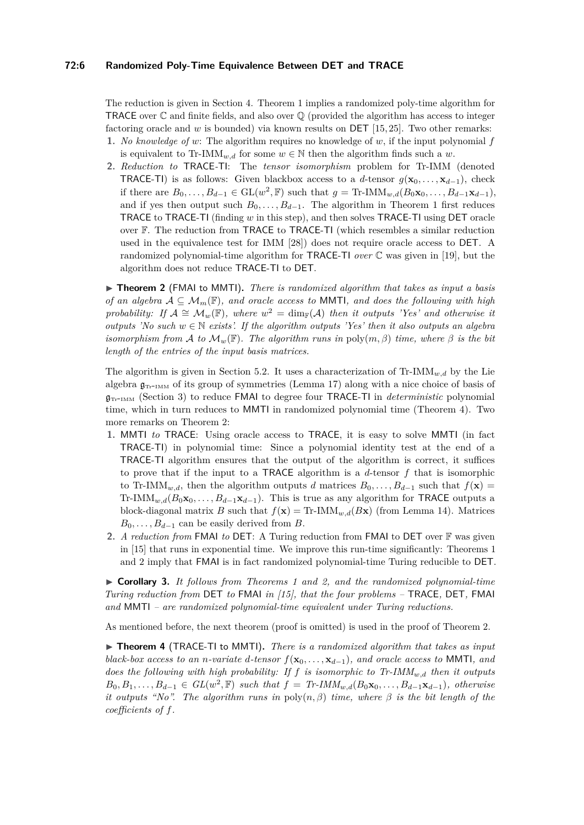#### **72:6 Randomized Poly-Time Equivalence Between DET and TRACE**

The reduction is given in Section [4.](#page-7-1) Theorem [1](#page-4-0) implies a randomized poly-time algorithm for TRACE over  $\mathbb C$  and finite fields, and also over  $\mathbb Q$  (provided the algorithm has access to integer factoring oracle and *w* is bounded) via known results on DET [\[15,](#page-14-1) [25\]](#page-14-6). Two other remarks:

- **1.** *No knowledge of w*: The algorithm requires no knowledge of *w*, if the input polynomial *f* is equivalent to Tr-IMM<sub>*w,d*</sub> for some  $w \in \mathbb{N}$  then the algorithm finds such a *w*.
- **2.** *Reduction to* TRACE*-*TI: The *tensor isomorphism* problem for Tr-IMM (denoted TRACE-TI) is as follows: Given blackbox access to a *d*-tensor  $g(\mathbf{x}_0, \dots, \mathbf{x}_{d-1})$ , check if there are  $B_0, \ldots, B_{d-1} \in GL(w^2, \mathbb{F})$  such that  $g = \text{Tr-IMM}_{w,d}(B_0\mathbf{x}_0, \ldots, B_{d-1}\mathbf{x}_{d-1}),$ and if yes then output such  $B_0, \ldots, B_{d-1}$ . The algorithm in Theorem [1](#page-4-0) first reduces TRACE to TRACE-TI (finding *w* in this step), and then solves TRACE-TI using DET oracle over F. The reduction from TRACE to TRACE-TI (which resembles a similar reduction used in the equivalence test for IMM [\[28\]](#page-14-0)) does not require oracle access to DET. A randomized polynomial-time algorithm for TRACE-TI *over* C was given in [\[19\]](#page-14-13), but the algorithm does not reduce TRACE-TI to DET.

<span id="page-5-1"></span>▶ **Theorem 2** (FMAI to MMTI). *There is randomized algorithm that takes as input a basis of an algebra*  $A \subseteq \mathcal{M}_m(\mathbb{F})$ *, and oracle access to* **MMTI***, and does the following with high probability:* If  $\mathcal{A} \cong \mathcal{M}_w(\mathbb{F})$ , where  $w^2 = \dim_{\mathbb{F}}(\mathcal{A})$  then it outputs 'Yes' and otherwise it *outputs 'No such*  $w \in \mathbb{N}$  *exists'. If the algorithm outputs 'Yes' then it also outputs an algebra isomorphism from* A *to*  $\mathcal{M}_w(\mathbb{F})$ *. The algorithm runs in* poly $(m, \beta)$  *time, where*  $\beta$  *is the bit length of the entries of the input basis matrices.*

The algorithm is given in Section [5.2.](#page-11-0) It uses a characterization of  $\text{Tr-IMM}_{w,d}$  by the Lie algebra  $\mathfrak{g}_{T_{\rm T}$ -IMM of its group of symmetries (Lemma [17\)](#page-11-1) along with a nice choice of basis of  $g_{\text{Tr-IMM}}$  (Section [3\)](#page-6-0) to reduce FMAI to degree four TRACE-TI in *deterministic* polynomial time, which in turn reduces to MMTI in randomized polynomial time (Theorem [4\)](#page-5-2). Two more remarks on Theorem [2:](#page-5-1)

- **1.** MMTI *to* TRACE: Using oracle access to TRACE, it is easy to solve MMTI (in fact TRACE-TI) in polynomial time: Since a polynomial identity test at the end of a TRACE-TI algorithm ensures that the output of the algorithm is correct, it suffices to prove that if the input to a TRACE algorithm is a *d*-tensor *f* that is isomorphic to Tr-IMM<sub>*w,d*</sub>, then the algorithm outputs *d* matrices  $B_0, \ldots, B_{d-1}$  such that  $f(\mathbf{x}) =$ Tr-IMM<sub>*w,d*</sub>( $B_0$ **x**<sub>0</sub>, ...,  $B_{d-1}$ **x**<sub>d</sub>−1</sub>). This is true as any algorithm for TRACE outputs a block-diagonal matrix *B* such that  $f(\mathbf{x}) = \text{Tr-IMM}_{w,d}(B\mathbf{x})$  (from Lemma [14\)](#page-7-0). Matrices  $B_0, \ldots, B_{d-1}$  can be easily derived from *B*.
- **2.** *A reduction from* FMAI *to* DET: A Turing reduction from FMAI to DET over F was given in [\[15\]](#page-14-1) that runs in exponential time. We improve this run-time significantly: Theorems [1](#page-4-0) and [2](#page-5-1) imply that FMAI is in fact randomized polynomial-time Turing reducible to DET.

<span id="page-5-0"></span>I **Corollary 3.** *It follows from Theorems [1](#page-4-0) and [2,](#page-5-1) and the randomized polynomial-time Turing reduction from* DET *to* FMAI *in [\[15\]](#page-14-1), that the four problems –* TRACE*,* DET*,* FMAI *and* MMTI *– are randomized polynomial-time equivalent under Turing reductions.*

As mentioned before, the next theorem (proof is omitted) is used in the proof of Theorem [2.](#page-5-1)

<span id="page-5-2"></span>▶ **Theorem 4** (TRACE-TI to MMTI). *There is a randomized algorithm that takes as input black-box access to an n-variate d-tensor*  $f(\mathbf{x}_0, \dots, \mathbf{x}_{d-1})$ *, and oracle access to* MMTI*, and does the following with high probability: If f is isomorphic to Tr-IMMw,d then it outputs*  $B_0, B_1, \ldots, B_{d-1} \in GL(w^2, \mathbb{F})$  *such that*  $f = Tr\text{-}IMM_{w,d}(B_0\mathbf{x}_0, \ldots, B_{d-1}\mathbf{x}_{d-1})$ *, otherwise it outputs "No". The algorithm runs in*  $\text{poly}(n, \beta)$  *time, where*  $\beta$  *is the bit length of the coefficients of f.*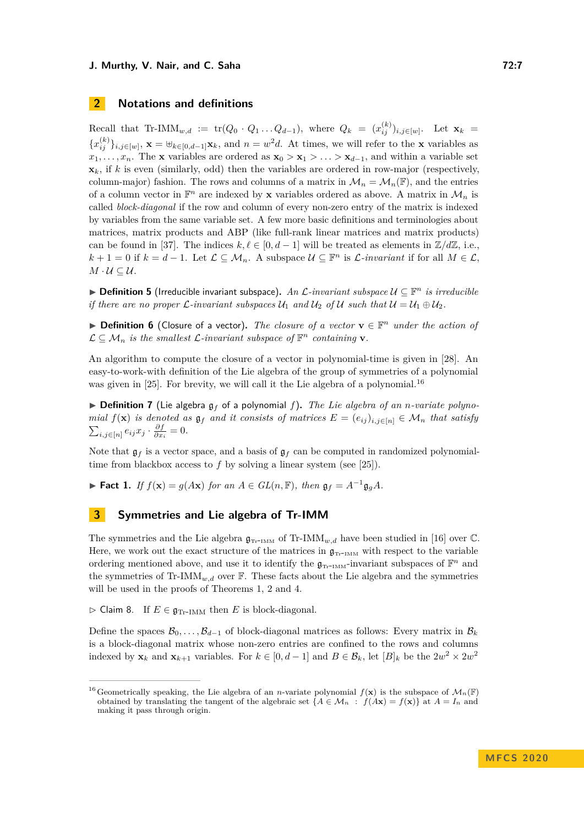# **2 Notations and definitions**

 $Recall that Tr-IMM_{w,d} := tr(Q_0 \cdot Q_1 ... Q_{d-1}),$  where  $Q_k = (x_{ij}^{(k)})_{i,j \in [w]}$ . Let  $\mathbf{x}_k =$  ${x_{ij}^{(k)}}_{i,j\in [w]}$ ,  $\mathbf{x} = \mathbf{\Theta}_{k\in [0,d-1]}\mathbf{x}_k$ , and  $n = w^2d$ . At times, we will refer to the **x** variables as  $x_1, \ldots, x_n$ . The **x** variables are ordered as  $\mathbf{x}_0 > \mathbf{x}_1 > \ldots > \mathbf{x}_{d-1}$ , and within a variable set  $\mathbf{x}_k$ , if *k* is even (similarly, odd) then the variables are ordered in row-major (respectively, column-major) fashion. The rows and columns of a matrix in  $\mathcal{M}_n = \mathcal{M}_n(\mathbb{F})$ , and the entries of a column vector in  $\mathbb{F}^n$  are indexed by **x** variables ordered as above. A matrix in  $\mathcal{M}_n$  is called *block-diagonal* if the row and column of every non-zero entry of the matrix is indexed by variables from the same variable set. A few more basic definitions and terminologies about matrices, matrix products and ABP (like full-rank linear matrices and matrix products) can be found in [\[37\]](#page-15-20). The indices  $k, \ell \in [0, d - 1]$  will be treated as elements in  $\mathbb{Z}/d\mathbb{Z}$ , i.e., *k* + 1 = 0 if *k* = *d* − 1. Let  $\mathcal{L} \subseteq \mathcal{M}_n$ . A subspace  $\mathcal{U} \subseteq \mathbb{F}^n$  is  $\mathcal{L}$ -invariant if for all  $M \in \mathcal{L}$ ,  $M \cdot U \subseteq U$ .

I **Definition 5** (Irreducible invariant subspace)**.** *An* L*-invariant subspace* U ⊆ F *<sup>n</sup> is irreducible if there are no proper*  $\mathcal{L}$ *-invariant subspaces*  $\mathcal{U}_1$  *and*  $\mathcal{U}_2$  *of*  $\mathcal{U}$  *such that*  $\mathcal{U} = \mathcal{U}_1 \oplus \mathcal{U}_2$ *.* 

**Definition 6** (Closure of a vector). The closure of a vector  $\mathbf{v} \in \mathbb{F}^n$  under the action of  $\mathcal{L} \subseteq \mathcal{M}_n$  is the smallest  $\mathcal{L}$ -invariant subspace of  $\mathbb{F}^n$  containing **v**.

An algorithm to compute the closure of a vector in polynomial-time is given in [\[28\]](#page-14-0). An easy-to-work-with definition of the Lie algebra of the group of symmetries of a polynomial was given in [\[25\]](#page-14-6). For brevity, we will call it the Lie algebra of a polynomial.<sup>[16](#page-6-1)</sup>

 $\triangleright$  **Definition 7** (Lie algebra  $g_f$  of a polynomial f). The Lie algebra of an *n*-variate polyno*mial*  $f(\mathbf{x})$  *is denoted as*  $\mathfrak{g}_f$  *and it consists of matrices*  $E = (e_{ij})_{i,j \in [n]} \in \mathcal{M}_n$  *that satisfy*  $\sum_{i,j\in[n]} e_{ij}x_j \cdot \frac{\partial f}{\partial x_i} = 0.$ 

Note that  $\mathfrak{g}_f$  is a vector space, and a basis of  $\mathfrak{g}_f$  can be computed in randomized polynomialtime from blackbox access to *f* by solving a linear system (see [\[25\]](#page-14-6)).

<span id="page-6-2"></span>► **Fact 1.** *If*  $f(\mathbf{x}) = g(A\mathbf{x})$  *for an*  $A \in GL(n, \mathbb{F})$ *, then*  $\mathfrak{g}_f = A^{-1}\mathfrak{g}_g A$ *.* 

## <span id="page-6-0"></span>**3 Symmetries and Lie algebra of Tr-IMM**

The symmetries and the Lie algebra  $\mathfrak{g}_{\text{Tr-IMM}}$  of Tr-IMM<sub>*w,d*</sub> have been studied in [\[16\]](#page-14-11) over  $\mathbb{C}$ . Here, we work out the exact structure of the matrices in  $g_{\text{Tr-IMM}}$  with respect to the variable ordering mentioned above, and use it to identify the  $\mathfrak{g}_{\textsc{Tr-IMM}}$ -invariant subspaces of  $\mathbb{F}^n$  and the symmetries of Tr-IMM<sub>*w,d*</sub> over  $\mathbb{F}$ . These facts about the Lie algebra and the symmetries will be used in the proofs of Theorems [1,](#page-4-0) [2](#page-5-1) and [4.](#page-5-2)

 $\triangleright$  Claim 8. If  $E \in \mathfrak{g}_{\text{Tr-IMM}}$  then *E* is block-diagonal.

Define the spaces  $\mathcal{B}_0, \ldots, \mathcal{B}_{d-1}$  of block-diagonal matrices as follows: Every matrix in  $\mathcal{B}_k$ is a block-diagonal matrix whose non-zero entries are confined to the rows and columns indexed by  $\mathbf{x}_k$  and  $\mathbf{x}_{k+1}$  variables. For  $k \in [0, d-1]$  and  $B \in \mathcal{B}_k$ , let  $[B]_k$  be the  $2w^2 \times 2w^2$ 

<span id="page-6-1"></span><sup>&</sup>lt;sup>16</sup> Geometrically speaking, the Lie algebra of an *n*-variate polynomial  $f(\mathbf{x})$  is the subspace of  $\mathcal{M}_n(\mathbb{F})$ obtained by translating the tangent of the algebraic set  ${A \in \mathcal{M}_n : f(Ax) = f(x)}$  at  $A = I_n$  and making it pass through origin.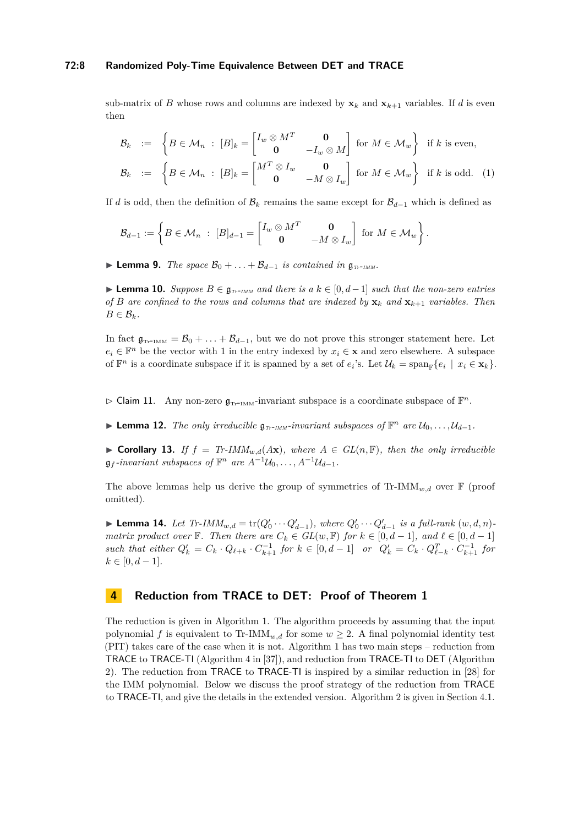#### **72:8 Randomized Poly-Time Equivalence Between DET and TRACE**

sub-matrix of *B* whose rows and columns are indexed by  $\mathbf{x}_k$  and  $\mathbf{x}_{k+1}$  variables. If *d* is even then

<span id="page-7-3"></span>
$$
\mathcal{B}_k := \begin{cases} B \in \mathcal{M}_n : [B]_k = \begin{bmatrix} I_w \otimes M^T & \mathbf{0} \\ \mathbf{0} & -I_w \otimes M \end{bmatrix} \text{ for } M \in \mathcal{M}_w \end{cases} \text{ if } k \text{ is even,}
$$

$$
\mathcal{B}_k := \begin{cases} B \in \mathcal{M}_n : [B]_k = \begin{bmatrix} M^T \otimes I_w & \mathbf{0} \\ \mathbf{0} & -M \otimes I_w \end{bmatrix} \text{ for } M \in \mathcal{M}_w \end{cases} \text{ if } k \text{ is odd.} \quad (1)
$$

If *d* is odd, then the definition of  $\mathcal{B}_k$  remains the same except for  $\mathcal{B}_{d-1}$  which is defined as

$$
\mathcal{B}_{d-1} := \left\{ B \in \mathcal{M}_n \; : \; [B]_{d-1} = \begin{bmatrix} I_w \otimes M^T & \mathbf{0} \\ \mathbf{0} & -M \otimes I_w \end{bmatrix} \; \text{for } M \in \mathcal{M}_w \right\}.
$$

<span id="page-7-4"></span>**► Lemma 9.** *The space*  $\mathcal{B}_0 + \ldots + \mathcal{B}_{d-1}$  *is contained in*  $\mathfrak{g}_{T_r \text{-} IMM}$ *.* 

<span id="page-7-5"></span>► **Lemma 10.** *Suppose*  $B \in \mathfrak{g}_{T_{T}$ -*IMM* and there is a  $k \in [0, d-1]$  such that the non-zero entries *of B* are confined to the rows and columns that are indexed by  $\mathbf{x}_k$  and  $\mathbf{x}_{k+1}$  *variables. Then*  $B \in \mathcal{B}_k$ *.* 

In fact  $\mathfrak{g}_{\text{Tr-IMM}} = \mathcal{B}_0 + \ldots + \mathcal{B}_{d-1}$ , but we do not prove this stronger statement here. Let  $e_i \in \mathbb{F}^n$  be the vector with 1 in the entry indexed by  $x_i \in \mathbf{x}$  and zero elsewhere. A subspace of  $\mathbb{F}^n$  is a coordinate subspace if it is spanned by a set of  $e_i$ 's. Let  $\mathcal{U}_k = \text{span}_{\mathbb{F}}\{e_i \mid x_i \in \mathbf{x}_k\}.$ 

 $\triangleright$  Claim 11. Any non-zero  $\mathfrak{g}_{\text{Tr-IMM}}$ -invariant subspace is a coordinate subspace of  $\mathbb{F}^n$ .

► **Lemma 12.** *The only irreducible*  $\mathfrak{g}_{T_r \text{-} \text{IMM}}$ *-invariant subspaces of*  $\mathbb{F}^n$  *are*  $\mathcal{U}_0, \ldots, \mathcal{U}_{d-1}$ *.* 

<span id="page-7-2"></span>▶ Corollary 13. *If*  $f = Tr$ -*IMM*<sub>*w,d</sub>(Ax), where*  $A \in GL(n, \mathbb{F})$ *, then the only irreducible*</sub>  $\mathfrak{g}_f$ -invariant subspaces of  $\mathbb{F}^n$  are  $A^{-1}\mathcal{U}_0, \ldots, A^{-1}\mathcal{U}_{d-1}$ .

The above lemmas help us derive the group of symmetries of  $\text{Tr-IMM}_{w,d}$  over  $\mathbb F$  (proof omitted).

<span id="page-7-0"></span>▶ **Lemma 14.** *Let*  $Tr$ -*IMM*<sub>*w*, $d$ </sub> =  $tr(Q'_0 \cdots Q'_{d-1})$ , where  $Q'_0 \cdots Q'_{d-1}$  is a full-rank  $(w, d, n)$ *matrix product over*  $\mathbb{F}$ *. Then there are*  $C_k \in GL(w, \mathbb{F})$  *for*  $k \in [0, d-1]$ *, and*  $\ell \in [0, d-1]$ such that either  $Q'_k = C_k \cdot Q_{\ell+k} \cdot C_{k+1}^{-1}$  for  $k \in [0, d-1]$  or  $Q'_k = C_k \cdot Q_{\ell-k}^T \cdot C_{k+1}^{-1}$  for  $k \in [0, d - 1]$ *.* 

# <span id="page-7-1"></span>**4 Reduction from TRACE to DET: Proof of Theorem [1](#page-4-0)**

The reduction is given in Algorithm [1.](#page-8-0) The algorithm proceeds by assuming that the input polynomial *f* is equivalent to Tr-IMM<sub>*w,d*</sub> for some  $w \geq 2$ . A final polynomial identity test (PIT) takes care of the case when it is not. Algorithm [1](#page-8-0) has two main steps – reduction from TRACE to TRACE-TI (Algorithm 4 in [\[37\]](#page-15-20)), and reduction from TRACE-TI to DET (Algorithm [2\)](#page-9-0). The reduction from TRACE to TRACE-TI is inspired by a similar reduction in [\[28\]](#page-14-0) for the IMM polynomial. Below we discuss the proof strategy of the reduction from TRACE to TRACE-TI, and give the details in the extended version. Algorithm [2](#page-9-0) is given in Section [4.1.](#page-8-1)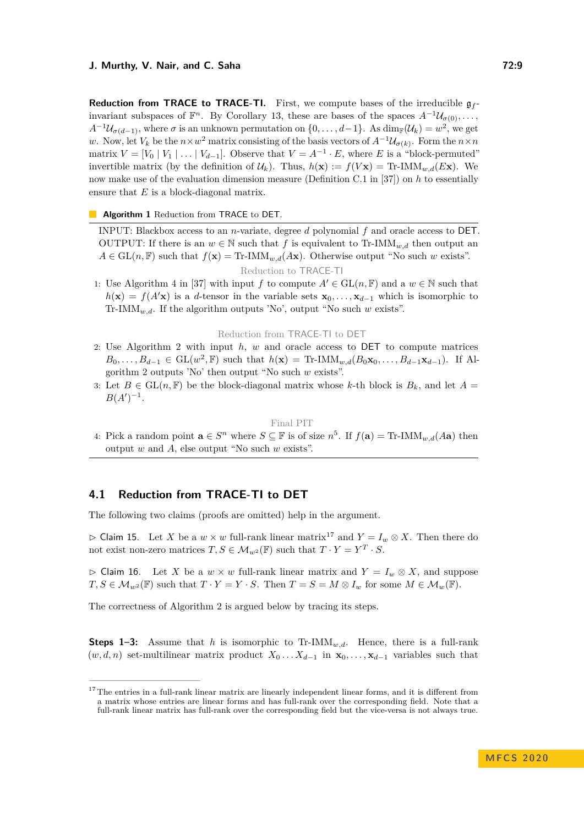**Reduction from TRACE to TRACE-TI.** First, we compute bases of the irreducible  $g_f$ invariant subspaces of  $\mathbb{F}^n$ . By Corollary [13,](#page-7-2) these are bases of the spaces  $A^{-1}\mathcal{U}_{\sigma(0)}, \ldots$ ,  $A^{-1}\mathcal{U}_{\sigma(d-1)}$ , where  $\sigma$  is an unknown permutation on  $\{0,\ldots,d-1\}$ . As  $\dim_{\mathbb{F}}(\mathcal{U}_k) = w^2$ , we get *w*. Now, let  $V_k$  be the  $n \times w^2$  matrix consisting of the basis vectors of  $A^{-1}U_{\sigma(k)}$ . Form the  $n \times n$ matrix  $V = [V_0 | V_1 | \dots | V_{d-1}]$ . Observe that  $V = A^{-1} \cdot E$ , where *E* is a "block-permuted" invertible matrix (by the definition of  $\mathcal{U}_k$ ). Thus,  $h(\mathbf{x}) := f(V\mathbf{x}) = \text{Tr-IMM}_{w,d}(E\mathbf{x})$ . We now make use of the evaluation dimension measure (Definition C.1 in [\[37\]](#page-15-20)) on *h* to essentially ensure that *E* is a block-diagonal matrix.

<span id="page-8-0"></span>**Algorithm 1** Reduction from TRACE to DET.

INPUT: Blackbox access to an *n*-variate, degree *d* polynomial *f* and oracle access to DET. OUTPUT: If there is an  $w \in \mathbb{N}$  such that f is equivalent to Tr-IMM<sub>*w,d*</sub> then output an  $A \in GL(n, \mathbb{F})$  such that  $f(\mathbf{x}) = \text{Tr-IMM}_{w,d}(A\mathbf{x})$ . Otherwise output "No such *w* exists". Reduction to TRACE-TI

1: Use Algorithm 4 in [\[37\]](#page-15-20) with input *f* to compute  $A' \in GL(n, \mathbb{F})$  and a  $w \in \mathbb{N}$  such that  $h(\mathbf{x}) = f(A'\mathbf{x})$  is a *d*-tensor in the variable sets  $\mathbf{x}_0, \ldots, \mathbf{x}_{d-1}$  which is isomorphic to Tr-IMM*w,d*. If the algorithm outputs 'No', output "No such *w* exists".

Reduction from TRACE-TI to DET

- 2: Use Algorithm [2](#page-9-0) with input *h*, *w* and oracle access to DET to compute matrices  $B_0, \ldots, B_{d-1} \in GL(w^2, \mathbb{F})$  such that  $h(\mathbf{x}) = \text{Tr-IMM}_{w,d}(B_0\mathbf{x}_0, \ldots, B_{d-1}\mathbf{x}_{d-1})$ . If Algorithm [2](#page-9-0) outputs 'No' then output "No such *w* exists".
- 3: Let  $B \in GL(n, \mathbb{F})$  be the block-diagonal matrix whose k-th block is  $B_k$ , and let  $A =$  $B(A')^{-1}$ .

Final PIT

4: Pick a random point  $\mathbf{a} \in S^n$  where  $S \subseteq \mathbb{F}$  is of size  $n^5$ . If  $f(\mathbf{a}) = \text{Tr-IMM}_{w,d}(A\mathbf{a})$  then output *w* and *A*, else output "No such *w* exists".

## <span id="page-8-1"></span>**4.1 Reduction from TRACE-TI to DET**

The following two claims (proofs are omitted) help in the argument.

<span id="page-8-3"></span> $\triangleright$  Claim 15. Let *X* be a *w* × *w* full-rank linear matrix<sup>[17](#page-8-2)</sup> and *Y* = *I<sub>w</sub>* ⊗ *X*. Then there do not exist non-zero matrices  $T, S \in M_{w^2}(\mathbb{F})$  such that  $T \cdot Y = Y^T \cdot S$ .

 $\triangleright$  Claim 16. Let *X* be a  $w \times w$  full-rank linear matrix and  $Y = I_w \otimes X$ , and suppose  $T, S \in \mathcal{M}_{w^2}(\mathbb{F})$  such that  $T \cdot Y = Y \cdot S$ . Then  $T = S = M \otimes I_w$  for some  $M \in \mathcal{M}_w(\mathbb{F})$ .

The correctness of Algorithm [2](#page-9-0) is argued below by tracing its steps.

**Steps 1–3:** Assume that *h* is isomorphic to Tr-IMM<sub>*w,d*</sub>. Hence, there is a full-rank  $(w, d, n)$  set-multilinear matrix product  $X_0 \dots X_{d-1}$  in  $\mathbf{x}_0, \dots, \mathbf{x}_{d-1}$  variables such that

<span id="page-8-2"></span> $17$  The entries in a full-rank linear matrix are linearly independent linear forms, and it is different from a matrix whose entries are linear forms and has full-rank over the corresponding field. Note that a full-rank linear matrix has full-rank over the corresponding field but the vice-versa is not always true.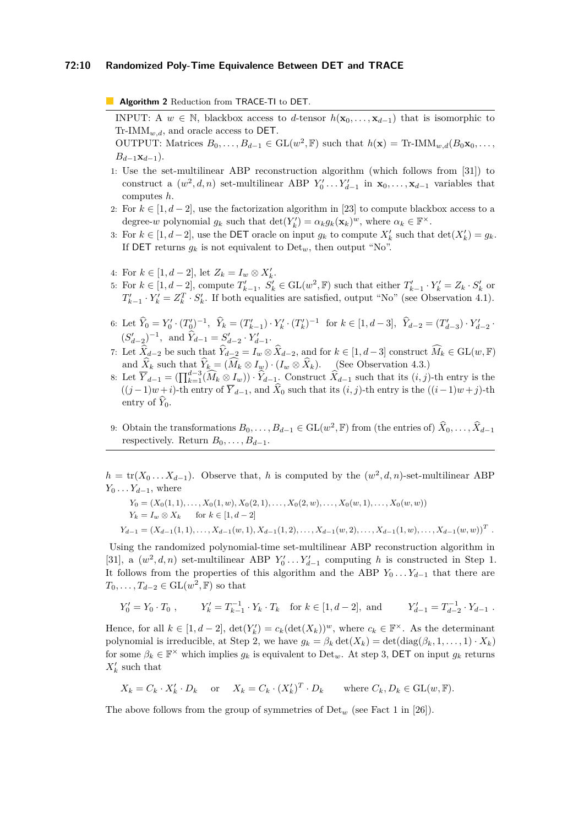#### **72:10 Randomized Poly-Time Equivalence Between DET and TRACE**

<span id="page-9-0"></span>**Algorithm 2** Reduction from TRACE-TI to DET.

INPUT: A  $w \in \mathbb{N}$ , blackbox access to *d*-tensor  $h(\mathbf{x}_0, \dots, \mathbf{x}_{d-1})$  that is isomorphic to  $Tr\text{-}IMM_{w,d}$ , and oracle access to DET.

OUTPUT: Matrices  $B_0, \ldots, B_{d-1} \in GL(w^2, \mathbb{F})$  such that  $h(\mathbf{x}) = \text{Tr-IMM}_{w,d}(B_0\mathbf{x}_0, \ldots,$  $B_{d-1}$ **x**<sub>*d*−1</sub>).

- 1: Use the set-multilinear ABP reconstruction algorithm (which follows from [\[31\]](#page-15-21)) to construct a  $(w^2, d, n)$  set-multilinear ABP  $Y'_0 \dots Y'_{d-1}$  in  $\mathbf{x}_0, \dots, \mathbf{x}_{d-1}$  variables that computes *h*.
- 2: For  $k \in [1, d-2]$ , use the factorization algorithm in [\[23\]](#page-14-18) to compute blackbox access to a degree-*w* polynomial  $g_k$  such that  $\det(Y'_k) = \alpha_k g_k(\mathbf{x}_k)^w$ , where  $\alpha_k \in \mathbb{F}^\times$ .
- 3: For  $k \in [1, d-2]$ , use the DET oracle on input  $g_k$  to compute  $X'_k$  such that  $\det(X'_k) = g_k$ . If **DET** returns  $q_k$  is not equivalent to  $Det_w$ , then output "No".
- 4: For  $k \in [1, d 2]$ , let  $Z_k = I_w \otimes X'_k$ .
- 5: For  $k \in [1, d-2]$ , compute  $T'_{k-1}$ ,  $S'_k \in GL(w^2, \mathbb{F})$  such that either  $T'_{k-1} \cdot Y'_k = Z_k \cdot S'_k$  or  $T'_{k-1} \cdot Y'_{k} = Z_{k}^{T} \cdot S'_{k}$ . If both equalities are satisfied, output "No" (see Observation [4.1\)](#page-10-0).
- 6: Let  $\hat{Y}_0 = Y'_0 \cdot (T'_0)^{-1}, \ \hat{Y}_k = (T'_{k-1}) \cdot Y'_k \cdot (T'_k)^{-1}$  for  $k \in [1, d-3], \ \hat{Y}_{d-2} = (T'_{d-3}) \cdot Y'_{d-2}$ .  $(S'_{d-2})^{-1}$ , and  $\hat{Y}_{d-1} = S'_{d-2} \cdot Y'_{d-1}$ .
- 7: Let  $\widehat{X}_{d-2}$  be such that  $\widehat{Y}_{d-2} = I_w \otimes \widehat{X}_{d-2}$ , and for  $k \in [1, d-3]$  construct  $\widehat{M}_k \in GL(w, \mathbb{F})$ and  $\hat{X}_k$  such that  $\hat{Y}_k = (\hat{M}_k \otimes I_w) \cdot (I_w \otimes \hat{X}_k)$ . (See Observation [4.3.](#page-10-1))
- 8: Let  $\overline{Y}_{d-1} = (\prod_{k=1}^{d-3} (\widehat{M}_k \otimes I_w)) \cdot \widehat{Y}_{d-1}$ . Construct  $\widehat{X}_{d-1}$  such that its  $(i, j)$ -th entry is the  $((j-1)w+i)$ -th entry of  $\overline{Y}_{d-1}$ , and  $\widehat{X}_0$  such that its  $(i, j)$ -th entry is the  $((i-1)w+j)$ -th entry of  $\widehat{Y}_0$ .
- 9: Obtain the transformations  $B_0, \ldots, B_{d-1} \in GL(w^2, \mathbb{F})$  from (the entries of)  $\hat{X}_0, \ldots, \hat{X}_{d-1}$ respectively. Return  $B_0, \ldots, B_{d-1}$ .

 $h = \text{tr}(X_0 \dots X_{d-1})$ . Observe that, *h* is computed by the  $(w^2, d, n)$ -set-multilinear ABP *Y*<sup>0</sup> *. . . Y*<sup>*d*−1</sub>, where</sup>

$$
Y_0 = (X_0(1,1),...,X_0(1,w),X_0(2,1),...,X_0(2,w),...,X_0(w,1),...,X_0(w,w))
$$
  
\n
$$
Y_k = I_w \otimes X_k \quad \text{for } k \in [1,d-2]
$$
  
\n
$$
Y_{d-1} = (X_{d-1}(1,1),...,X_{d-1}(w,1),X_{d-1}(1,2),...,X_{d-1}(w,2),...,X_{d-1}(1,w),...,X_{d-1}(w,w))
$$
<sup>T</sup>.

Using the randomized polynomial-time set-multilinear ABP reconstruction algorithm in [\[31\]](#page-15-21), a  $(w^2, d, n)$  set-multilinear ABP  $Y'_0 \dots Y'_{d-1}$  computing *h* is constructed in Step 1. It follows from the properties of this algorithm and the ABP  $Y_0 \ldots Y_{d-1}$  that there are  $T_0, \ldots, T_{d-2} \in GL(w^2, \mathbb{F})$  so that

$$
Y'_0 = Y_0 \cdot T_0 , \qquad Y'_k = T_{k-1}^{-1} \cdot Y_k \cdot T_k \quad \text{for } k \in [1, d-2], \text{ and } Y'_{d-1} = T_{d-2}^{-1} \cdot Y_{d-1} .
$$

Hence, for all  $k \in [1, d-2]$ ,  $\det(Y_k') = c_k(\det(X_k))^w$ , where  $c_k \in \mathbb{F}^\times$ . As the determinant polynomial is irreducible, at Step 2, we have  $g_k = \beta_k \det(X_k) = \det(\text{diag}(\beta_k, 1, \ldots, 1) \cdot X_k)$ for some  $\beta_k \in \mathbb{F}^\times$  which implies  $g_k$  is equivalent to  $\text{Det}_w$ . At step 3, DET on input  $g_k$  returns  $X'_k$  such that

$$
X_k = C_k \cdot X'_k \cdot D_k
$$
 or  $X_k = C_k \cdot (X'_k)^T \cdot D_k$  where  $C_k, D_k \in GL(w, \mathbb{F})$ .

The above follows from the group of symmetries of Det*<sup>w</sup>* (see Fact 1 in [\[26\]](#page-14-7)).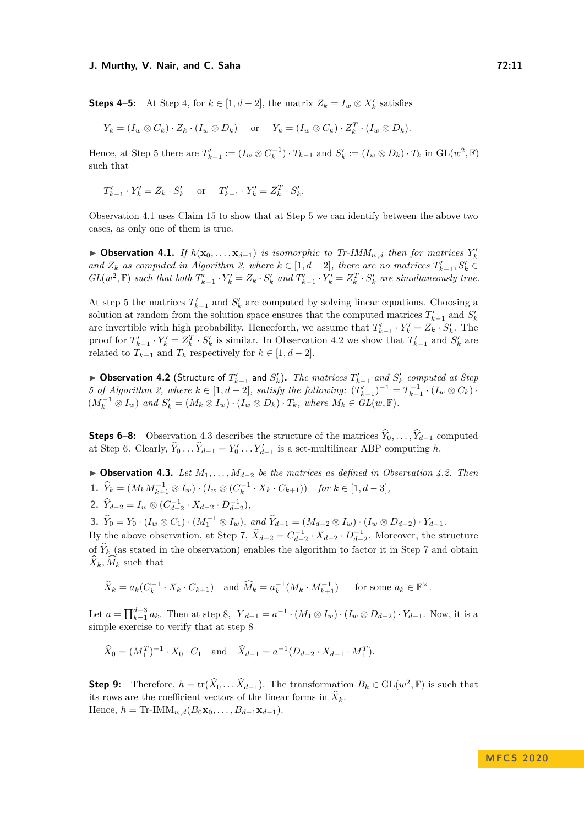**Steps 4–5:** At Step 4, for  $k \in [1, d-2]$ , the matrix  $Z_k = I_w \otimes X'_k$  satisfies

$$
Y_k = (I_w \otimes C_k) \cdot Z_k \cdot (I_w \otimes D_k)
$$
 or  $Y_k = (I_w \otimes C_k) \cdot Z_k^T \cdot (I_w \otimes D_k)$ .

Hence, at Step 5 there are  $T'_{k-1} := (I_w \otimes C_k^{-1}) \cdot T_{k-1}$  and  $S'_k := (I_w \otimes D_k) \cdot T_k$  in  $GL(w^2, \mathbb{F})$ such that

$$
T'_{k-1} \cdot Y'_k = Z_k \cdot S'_k \quad \text{or} \quad T'_{k-1} \cdot Y'_k = Z_k^T \cdot S'_k.
$$

Observation [4.1](#page-10-0) uses Claim [15](#page-8-3) to show that at Step 5 we can identify between the above two cases, as only one of them is true.

<span id="page-10-0"></span>▶ Observation 4.1. *If*  $h(\mathbf{x}_0, ..., \mathbf{x}_{d-1})$  *is isomorphic to Tr-IMM<sub><i>w*,d</sub> then for matrices</sub>  $Y_k$ *and*  $Z_k$  *as computed in Algorithm [2,](#page-9-0) where*  $k \in [1, d-2]$ *, there are no matrices*  $T'_{k-1}, S'_k \in$  $GL(w^2, \mathbb{F})$  such that both  $T'_{k-1} \cdot Y'_{k} = Z_k \cdot S'_{k}$  and  $T'_{k-1} \cdot Y'_{k} = Z_k^T \cdot S'_{k}$  are simultaneously true.

At step 5 the matrices  $T'_{k-1}$  and  $S'_{k}$  are computed by solving linear equations. Choosing a solution at random from the solution space ensures that the computed matrices  $T'_{k-1}$  and  $S'_{k}$ are invertible with high probability. Henceforth, we assume that  $T'_{k-1} \cdot Y'_{k} = Z_k \cdot S'_{k}$ . The proof for  $T_{k-1}' \cdot Y_k' = Z_k^T \cdot S_k'$  is similar. In Observation [4.2](#page-10-2) we show that  $T_{k-1}'$  and  $S_k'$  are related to  $T_{k-1}$  and  $T_k$  respectively for  $k \in [1, d-2]$ .

<span id="page-10-2"></span>▶ Observation 4.2 (Structure of  $T'_{k-1}$  and  $S'_{k}$ ). The matrices  $T'_{k-1}$  and  $S'_{k}$  computed at Step *5* of Algorithm [2,](#page-9-0) where  $k \in [1, d-2]$ , satisfy the following:  $(T'_{k-1})^{-1} = T_{k-1}^{-1} \cdot (I_w \otimes C_k)$ .  $(M_k^{-1} \otimes I_w)$  and  $S'_k = (M_k \otimes I_w) \cdot (I_w \otimes D_k) \cdot T_k$ , where  $M_k \in GL(w, \mathbb{F})$ .

**Steps 6–8:** Observation [4.3](#page-10-1) describes the structure of the matrices  $\hat{Y}_0, \ldots, \hat{Y}_{d-1}$  computed at Step 6. Clearly,  $\hat{Y}_0 \dots \hat{Y}_{d-1} = Y'_0 \dots Y'_{d-1}$  is a set-multilinear ABP computing *h*.

<span id="page-10-1"></span> $▶$  **Observation 4.3.** *Let*  $M_1, \ldots, M_{d-2}$  *be the matrices as defined in Observation [4.2.](#page-10-2) Then* **1.**  $\hat{Y}_k = (M_k M_{k+1}^{-1} \otimes I_w) \cdot (I_w \otimes (C_k^{-1} \cdot X_k \cdot C_{k+1}))$  *for*  $k \in [1, d-3]$ *,* **2.**  $\hat{Y}_{d-2} = I_w \otimes (C_{d-2}^{-1} \cdot X_{d-2} \cdot D_{d-2}^{-1}),$ 

**3.**  $\hat{Y}_0 = Y_0 \cdot (I_w \otimes C_1) \cdot (M_1^{-1} \otimes I_w), \text{ and } \hat{Y}_{d-1} = (M_{d-2} \otimes I_w) \cdot (I_w \otimes D_{d-2}) \cdot Y_{d-1}.$ 

By the above observation, at Step 7,  $\hat{X}_{d-2} = C_{d-2}^{-1} \cdot X_{d-2} \cdot D_{d-2}^{-1}$ . Moreover, the structure of  $\hat{Y}_k$  (as stated in the observation) enables the algorithm to factor it in Step 7 and obtain  $\widehat{X}_k, \widehat{M}_k$  such that

$$
\widehat{X}_k = a_k(C_k^{-1} \cdot X_k \cdot C_{k+1}) \quad \text{and } \widehat{M}_k = a_k^{-1}(M_k \cdot M_{k+1}^{-1}) \quad \text{for some } a_k \in \mathbb{F}^\times.
$$

Let  $a = \prod_{k=1}^{d-3} a_k$ . Then at step 8,  $\overline{Y}_{d-1} = a^{-1} \cdot (M_1 \otimes I_w) \cdot (I_w \otimes D_{d-2}) \cdot Y_{d-1}$ . Now, it is a simple exercise to verify that at step 8

$$
\widehat{X}_0 = (M_1^T)^{-1} \cdot X_0 \cdot C_1
$$
 and  $\widehat{X}_{d-1} = a^{-1}(D_{d-2} \cdot X_{d-1} \cdot M_1^T).$ 

**Step 9:** Therefore,  $h = \text{tr}(\hat{X}_0 \dots \hat{X}_{d-1})$ . The transformation  $B_k \in \text{GL}(w^2, \mathbb{F})$  is such that its rows are the coefficient vectors of the linear forms in  $\hat{X}_k$ . Hence,  $h = \text{Tr-IMM}_{w,d}(B_0\mathbf{x}_0,\ldots,B_{d-1}\mathbf{x}_{d-1}).$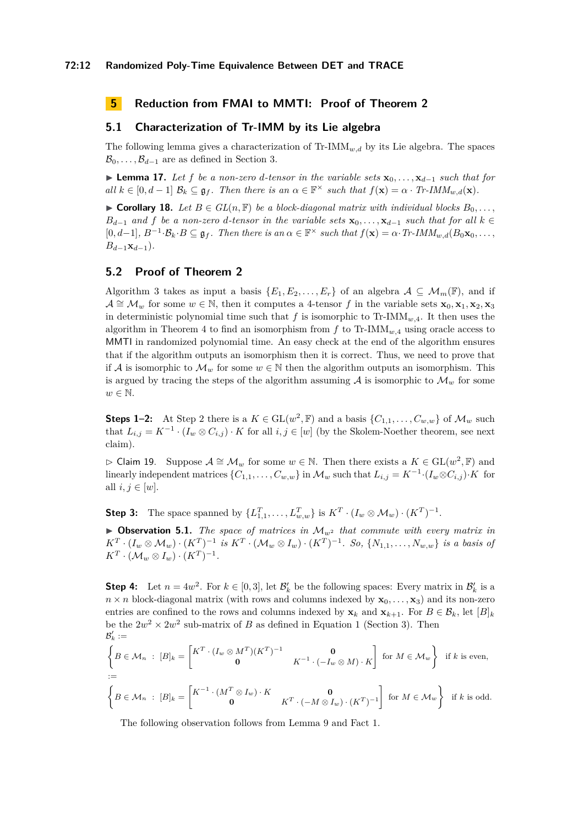# **5 Reduction from FMAI to MMTI: Proof of Theorem [2](#page-5-1)**

# **5.1 Characterization of Tr-IMM by its Lie algebra**

The following lemma gives a characterization of  $\text{Tr-IMM}_{w,d}$  by its Lie algebra. The spaces  $\mathcal{B}_0, \ldots, \mathcal{B}_{d-1}$  are as defined in Section [3.](#page-6-0)

<span id="page-11-1"></span>**► Lemma 17.** Let *f* be a non-zero *d*-tensor in the variable sets  $\mathbf{x}_0, \ldots, \mathbf{x}_{d-1}$  such that for  $all \ k \in [0, d-1] \ \mathcal{B}_k \subseteq \mathfrak{g}_f$ . Then there is an  $\alpha \in \mathbb{F}^\times$  such that  $f(\mathbf{x}) = \alpha \cdot Tr\text{-}IMM_{w,d}(\mathbf{x})$ .

<span id="page-11-3"></span>▶ **Corollary 18.** *Let*  $B \in GL(n, \mathbb{F})$  *be a block-diagonal matrix with individual blocks*  $B_0, \ldots$ , *B*<sup> $d$ </sup>−1 *and f be a non-zero d*-tensor in the variable sets  $\mathbf{x}_0, \ldots, \mathbf{x}_{d-1}$  *such that for all*  $k \in$  $[0, d-1], B^{-1} \cdot \mathcal{B}_k \cdot B \subseteq \mathfrak{g}_f$ . Then there is an  $\alpha \in \mathbb{F}^\times$  such that  $f(\mathbf{x}) = \alpha \cdot Tr\text{-}IMM_{w,d}(B_0\mathbf{x}_0, \dots)$ *B*<sup>*d*−1</sup>**x**<sup>*d*−1</sub>)*.*</sup>

## <span id="page-11-0"></span>**5.2 Proof of Theorem [2](#page-5-1)**

Algorithm [3](#page-12-0) takes as input a basis  $\{E_1, E_2, \ldots, E_r\}$  of an algebra  $\mathcal{A} \subseteq \mathcal{M}_m(\mathbb{F})$ , and if  $\mathcal{A} \cong \mathcal{M}_w$  for some  $w \in \mathbb{N}$ , then it computes a 4-tensor *f* in the variable sets  $\mathbf{x}_0, \mathbf{x}_1, \mathbf{x}_2, \mathbf{x}_3$ in deterministic polynomial time such that  $f$  is isomorphic to Tr-IMM<sub>w,4</sub>. It then uses the algorithm in Theorem [4](#page-5-2) to find an isomorphism from  $f$  to Tr-IMM<sub>*w*</sub>, using oracle access to MMTI in randomized polynomial time. An easy check at the end of the algorithm ensures that if the algorithm outputs an isomorphism then it is correct. Thus, we need to prove that if A is isomorphic to  $\mathcal{M}_w$  for some  $w \in \mathbb{N}$  then the algorithm outputs an isomorphism. This is argued by tracing the steps of the algorithm assuming  $A$  is isomorphic to  $\mathcal{M}_w$  for some  $w \in \mathbb{N}$ .

**Steps 1–2:** At Step 2 there is a  $K \in GL(w^2, \mathbb{F})$  and a basis  $\{C_{1,1}, \ldots, C_{w,w}\}$  of  $\mathcal{M}_w$  such that  $L_{i,j} = K^{-1} \cdot (I_w \otimes C_{i,j}) \cdot K$  for all  $i, j \in [w]$  (by the Skolem-Noether theorem, see next claim).

B Claim 19. Suppose A ∼= M*<sup>w</sup>* for some *w* ∈ N. Then there exists a *K* ∈ GL(*w* 2 *,* F) and linearly independent matrices  $\{C_{1,1}, \ldots, C_{w,w}\}$  in  $\mathcal{M}_w$  such that  $L_{i,j} = K^{-1} \cdot (I_w \otimes C_{i,j}) \cdot K$  for all  $i, j \in [w]$ .

**Step 3:** The space spanned by  $\{L_{1,1}^T, \ldots, L_{w,w}^T\}$  is  $K^T \cdot (I_w \otimes M_w) \cdot (K^T)^{-1}$ .

 $\triangleright$  **Observation 5.1.** *The space of matrices in*  $\mathcal{M}_{w^2}$  *that commute with every matrix in*  $K^T\cdot (I_w\otimes \mathcal{M}_w)\cdot (K^T)^{-1}$  is  $K^T\cdot (\mathcal{M}_w\otimes I_w)\cdot (K^T)^{-1}$ . So,  $\{N_{1,1},\ldots,N_{w,w}\}$  is a basis of  $K^T \cdot (\mathcal{M}_w \otimes I_w) \cdot (K^T)^{-1}.$ 

**Step 4:** Let  $n = 4w^2$ . For  $k \in [0,3]$ , let  $\mathcal{B}'_k$  be the following spaces: Every matrix in  $\mathcal{B}'_k$  is a  $n \times n$  block-diagonal matrix (with rows and columns indexed by  $\mathbf{x}_0, \ldots, \mathbf{x}_3$ ) and its non-zero entries are confined to the rows and columns indexed by  $\mathbf{x}_k$  and  $\mathbf{x}_{k+1}$ . For  $B \in \mathcal{B}_k$ , let  $[B]_k$ be the  $2w^2 \times 2w^2$  sub-matrix of *B* as defined in Equation [1](#page-7-3) (Section [3\)](#page-6-0). Then  $\mathcal{B}'_k :=$ 

$$
\begin{aligned}\n\left\{ B \in \mathcal{M}_n : [B]_k = \begin{bmatrix} K^T \cdot (I_w \otimes M^T)(K^T)^{-1} & \mathbf{0} \\
\mathbf{0} & K^{-1} \cdot (-I_w \otimes M) \cdot K \end{bmatrix} \text{ for } M \in \mathcal{M}_w \right\} &\text{if } k \text{ is even,} \\
&:= \left\{ B \in \mathcal{M}_n : [B]_k = \begin{bmatrix} K^{-1} \cdot (M^T \otimes I_w) \cdot K & \mathbf{0} \\
\mathbf{0} & K^T \cdot (-M \otimes I_w) \cdot (K^T)^{-1} \end{bmatrix} \text{ for } M \in \mathcal{M}_w \right\} &\text{if } k \text{ is odd.}\n\end{aligned}
$$

<span id="page-11-2"></span>The following observation follows from Lemma [9](#page-7-4) and Fact [1.](#page-6-2)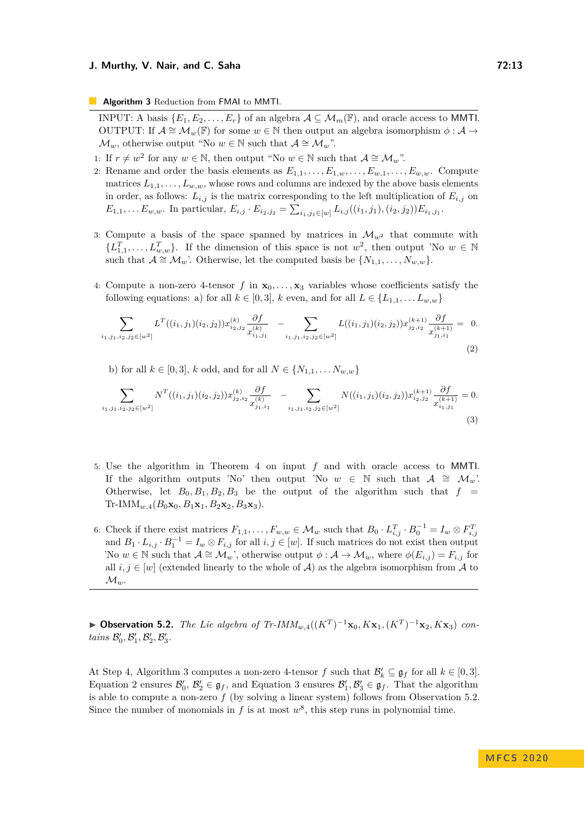<span id="page-12-0"></span>**Algorithm 3** Reduction from FMAI to MMTI.

INPUT: A basis  $\{E_1, E_2, \ldots, E_r\}$  of an algebra  $\mathcal{A} \subseteq \mathcal{M}_m(\mathbb{F})$ , and oracle access to MMTI. OUTPUT: If  $A \cong M_w(\mathbb{F})$  for some  $w \in \mathbb{N}$  then output an algebra isomorphism  $\phi : A \to$  $\mathcal{M}_w$ , otherwise output "No  $w \in \mathbb{N}$  such that  $\mathcal{A} \cong \mathcal{M}_w$ ".

- 1: If  $r \neq w^2$  for any  $w \in \mathbb{N}$ , then output "No  $w \in \mathbb{N}$  such that  $\mathcal{A} \cong \mathcal{M}_w$ ".
- 2: Rename and order the basis elements as  $E_{1,1}, \ldots, E_{1,w}, \ldots, E_{w,1}, \ldots, E_{w,w}$ . Compute matrices  $L_{1,1}, \ldots, L_{w,w}$ , whose rows and columns are indexed by the above basis elements in order, as follows:  $L_{i,j}$  is the matrix corresponding to the left multiplication of  $E_{i,j}$  on  $E_{1,1}, \ldots E_{w,w}$ . In particular,  $E_{i,j} \cdot E_{i_2,j_2} = \sum_{i_1,j_1 \in [w]} L_{i,j}((i_1,j_1),(i_2,j_2)) E_{i_1,j_1}$ .
- 3: Compute a basis of the space spanned by matrices in  $\mathcal{M}_{w^2}$  that commute with  $\{L_{1,1}^T, \ldots, L_{w,w}^T\}$ . If the dimension of this space is not  $w^2$ , then output 'No  $w \in \mathbb{N}$ such that  $A \cong M_w$ . Otherwise, let the computed basis be  $\{N_{1,1}, \ldots, N_{w,w}\}.$
- <span id="page-12-1"></span>4: Compute a non-zero 4-tensor  $f$  in  $\mathbf{x}_0, \ldots, \mathbf{x}_3$  variables whose coefficients satisfy the following equations: a) for all  $k \in [0,3]$ ,  $k$  even, and for all  $L \in \{L_{1,1}, \ldots L_{w,w}\}\$

$$
\sum_{i_1, j_1, i_2, j_2 \in [w^2]} L^T((i_1, j_1)(i_2, j_2)) x_{i_2, j_2}^{(k)} \frac{\partial f}{x_{i_1, j_1}^{(k)}} - \sum_{i_1, j_1, i_2, j_2 \in [w^2]} L((i_1, j_1)(i_2, j_2)) x_{j_2, i_2}^{(k+1)} \frac{\partial f}{x_{j_1, i_1}^{(k+1)}} = 0.
$$
\n(2)

<span id="page-12-2"></span>b) for all  $k \in [0, 3]$ ,  $k$  odd, and for all  $N \in \{N_{1,1}, \ldots N_{w,w}\}\$ 

$$
\sum_{i_1, j_1, i_2, j_2 \in [w^2]} N^T((i_1, j_1)(i_2, j_2)) x_{j_2, i_2}^{(k)} \frac{\partial f}{x_{j_1, i_1}^{(k)}} - \sum_{i_1, j_1, i_2, j_2 \in [w^2]} N((i_1, j_1)(i_2, j_2)) x_{i_2, j_2}^{(k+1)} \frac{\partial f}{x_{i_1, j_1}^{(k+1)}} = 0.
$$
\n(3)

- 5: Use the algorithm in Theorem [4](#page-5-2) on input *f* and with oracle access to MMTI. If the algorithm outputs 'No' then output 'No  $w \in \mathbb{N}$  such that  $\mathcal{A} \cong \mathcal{M}_w$ '. Otherwise, let  $B_0, B_1, B_2, B_3$  be the output of the algorithm such that  $f =$  $Tr\text{-}IMM_{w,4}(B_0\mathbf{x}_0, B_1\mathbf{x}_1, B_2\mathbf{x}_2, B_3\mathbf{x}_3).$
- 6: Check if there exist matrices  $F_{1,1}, \ldots, F_{w,w} \in \mathcal{M}_w$  such that  $B_0 \cdot L_{i,j}^T \cdot B_0^{-1} = I_w \otimes F_{i,j}^T$ and  $B_1 \cdot L_{i,j} \cdot B_1^{-1} = I_w \otimes F_{i,j}$  for all  $i, j \in [w]$ . If such matrices do not exist then output 'No  $w \in \mathbb{N}$  such that  $\mathcal{A} \cong \mathcal{M}_w$ ', otherwise output  $\phi : \mathcal{A} \to \mathcal{M}_w$ , where  $\phi(E_{i,j}) = F_{i,j}$  for all  $i, j \in [w]$  (extended linearly to the whole of A) as the algebra isomorphism from A to  $\mathcal{M}_w$ .

▶ Observation 5.2. *The Lie algebra of Tr-IMM<sub>w,4</sub>((* $K^T$ *)*<sup>-1</sup>**x**<sub>0</sub>*,*  $K$ **x**<sub>1</sub>*,*( $K^T$ )<sup>-1</sup>**x**<sub>2</sub>*,*  $K$ **x**<sub>3</sub>) *con tains*  $\mathcal{B}'_0$ ,  $\mathcal{B}'_1$ ,  $\mathcal{B}'_2$ ,  $\mathcal{B}'_3$ .

At Step 4, Algorithm [3](#page-12-0) computes a non-zero 4-tensor  $f$  such that  $\mathcal{B}'_k \subseteq \mathfrak{g}_f$  for all  $k \in [0,3]$ . Equation [2](#page-12-1) ensures  $\mathcal{B}'_0$ ,  $\mathcal{B}'_2 \in \mathfrak{g}_f$ , and Equation [3](#page-12-2) ensures  $\mathcal{B}'_1, \mathcal{B}'_3 \in \mathfrak{g}_f$ . That the algorithm is able to compute a non-zero *f* (by solving a linear system) follows from Observation [5.2.](#page-11-2) Since the number of monomials in  $f$  is at most  $w^8$ , this step runs in polynomial time.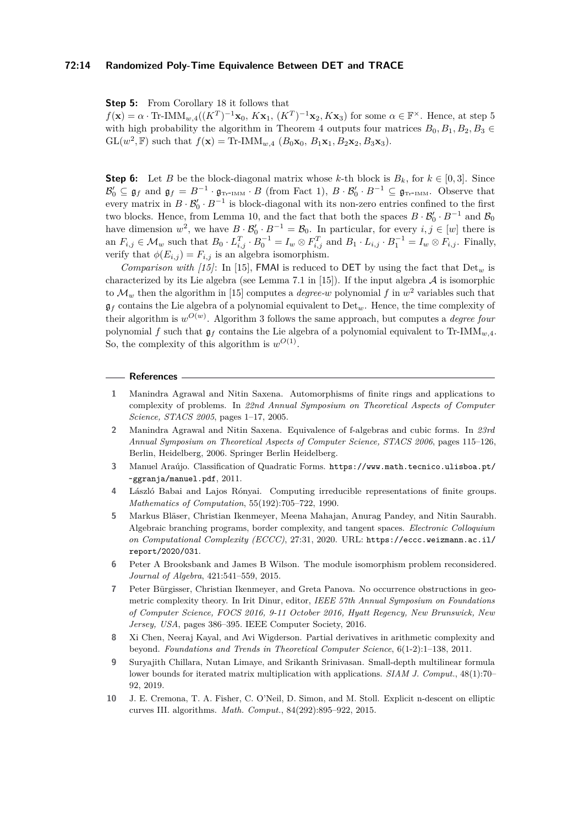#### **72:14 Randomized Poly-Time Equivalence Between DET and TRACE**

**Step 5:** From Corollary [18](#page-11-3) it follows that

 $f(\mathbf{x}) = \alpha \cdot \text{Tr-IMM}_{w,4}((K^T)^{-1}\mathbf{x}_0, K\mathbf{x}_1, (K^T)^{-1}\mathbf{x}_2, K\mathbf{x}_3)$  for some  $\alpha \in \mathbb{F}^{\times}$ . Hence, at step 5 with high probability the algorithm in Theorem [4](#page-5-2) outputs four matrices  $B_0, B_1, B_2, B_3 \in$  $GL(w^2, \mathbb{F})$  such that  $f(\mathbf{x}) = \text{Tr-IMM}_{w,4}$   $(B_0\mathbf{x}_0, B_1\mathbf{x}_1, B_2\mathbf{x}_2, B_3\mathbf{x}_3)$ .

**Step 6:** Let *B* be the block-diagonal matrix whose *k*-th block is  $B_k$ , for  $k \in [0,3]$ . Since  $\mathcal{B}'_0 \subseteq \mathfrak{g}_f$  and  $\mathfrak{g}_f = B^{-1} \cdot \mathfrak{g}_{\text{Tr-IMM}} \cdot B$  (from Fact [1\)](#page-6-2),  $B \cdot \mathcal{B}'_0 \cdot B^{-1} \subseteq \mathfrak{g}_{\text{Tr-IMM}}$ . Observe that every matrix in  $B \cdot \mathcal{B}'_0 \cdot B^{-1}$  is block-diagonal with its non-zero entries confined to the first two blocks. Hence, from Lemma [10,](#page-7-5) and the fact that both the spaces  $B \cdot \mathcal{B}'_0 \cdot B^{-1}$  and  $\mathcal{B}_0$ have dimension  $w^2$ , we have  $B \cdot \mathcal{B}'_0 \cdot B^{-1} = \mathcal{B}_0$ . In particular, for every  $i, j \in [w]$  there is an  $F_{i,j} \in \mathcal{M}_w$  such that  $B_0 \cdot L_{i,j}^T \cdot B_0^{-1} = I_w \otimes F_{i,j}^T$  and  $B_1 \cdot L_{i,j} \cdot B_1^{-1} = I_w \otimes F_{i,j}$ . Finally, verify that  $\phi(E_{i,j}) = F_{i,j}$  is an algebra isomorphism.

*Comparison with [\[15\]](#page-14-1)*: In [15], **FMAI** is reduced to **DET** by using the fact that  $Det_w$  is characterized by its Lie algebra (see Lemma 7.1 in [\[15\]](#page-14-1)). If the input algebra  $A$  is isomorphic to  $\mathcal{M}_w$  then the algorithm in [\[15\]](#page-14-1) computes a *degree-w* polynomial f in  $w^2$  variables such that  $\mathfrak{g}_f$  contains the Lie algebra of a polynomial equivalent to Det<sub>w</sub>. Hence, the time complexity of their algorithm is  $w^{O(w)}$ . Algorithm [3](#page-12-0) follows the same approach, but computes a *degree four* polynomial *f* such that g*<sup>f</sup>* contains the Lie algebra of a polynomial equivalent to Tr-IMM*w,*4. So, the complexity of this algorithm is  $w^{O(1)}$ .

#### **References**

- <span id="page-13-0"></span>**1** Manindra Agrawal and Nitin Saxena. Automorphisms of finite rings and applications to complexity of problems. In *22nd Annual Symposium on Theoretical Aspects of Computer Science, STACS 2005*, pages 1–17, 2005.
- <span id="page-13-1"></span>**2** Manindra Agrawal and Nitin Saxena. Equivalence of f-algebras and cubic forms. In *23rd Annual Symposium on Theoretical Aspects of Computer Science, STACS 2006*, pages 115–126, Berlin, Heidelberg, 2006. Springer Berlin Heidelberg.
- <span id="page-13-3"></span>**3** Manuel Araújo. Classification of Quadratic Forms. [https://www.math.tecnico.ulisboa.pt/](https://www.math.tecnico.ulisboa.pt/~ggranja/manuel.pdf) [~ggranja/manuel.pdf](https://www.math.tecnico.ulisboa.pt/~ggranja/manuel.pdf), 2011.
- <span id="page-13-9"></span>**4** László Babai and Lajos Rónyai. Computing irreducible representations of finite groups. *Mathematics of Computation*, 55(192):705–722, 1990.
- <span id="page-13-7"></span>**5** Markus Bläser, Christian Ikenmeyer, Meena Mahajan, Anurag Pandey, and Nitin Saurabh. Algebraic branching programs, border complexity, and tangent spaces. *Electronic Colloquium on Computational Complexity (ECCC)*, 27:31, 2020. URL: [https://eccc.weizmann.ac.il/](https://eccc.weizmann.ac.il/report/2020/031) [report/2020/031](https://eccc.weizmann.ac.il/report/2020/031).
- <span id="page-13-2"></span>**6** Peter A Brooksbank and James B Wilson. The module isomorphism problem reconsidered. *Journal of Algebra*, 421:541–559, 2015.
- <span id="page-13-6"></span>**7** Peter Bürgisser, Christian Ikenmeyer, and Greta Panova. No occurrence obstructions in geometric complexity theory. In Irit Dinur, editor, *IEEE 57th Annual Symposium on Foundations of Computer Science, FOCS 2016, 9-11 October 2016, Hyatt Regency, New Brunswick, New Jersey, USA*, pages 386–395. IEEE Computer Society, 2016.
- <span id="page-13-4"></span>**8** Xi Chen, Neeraj Kayal, and Avi Wigderson. Partial derivatives in arithmetic complexity and beyond. *Foundations and Trends in Theoretical Computer Science*, 6(1-2):1–138, 2011.
- <span id="page-13-5"></span>**9** Suryajith Chillara, Nutan Limaye, and Srikanth Srinivasan. Small-depth multilinear formula lower bounds for iterated matrix multiplication with applications. *SIAM J. Comput.*, 48(1):70– 92, 2019.
- <span id="page-13-8"></span>**10** J. E. Cremona, T. A. Fisher, C. O'Neil, D. Simon, and M. Stoll. Explicit n-descent on elliptic curves III. algorithms. *Math. Comput.*, 84(292):895–922, 2015.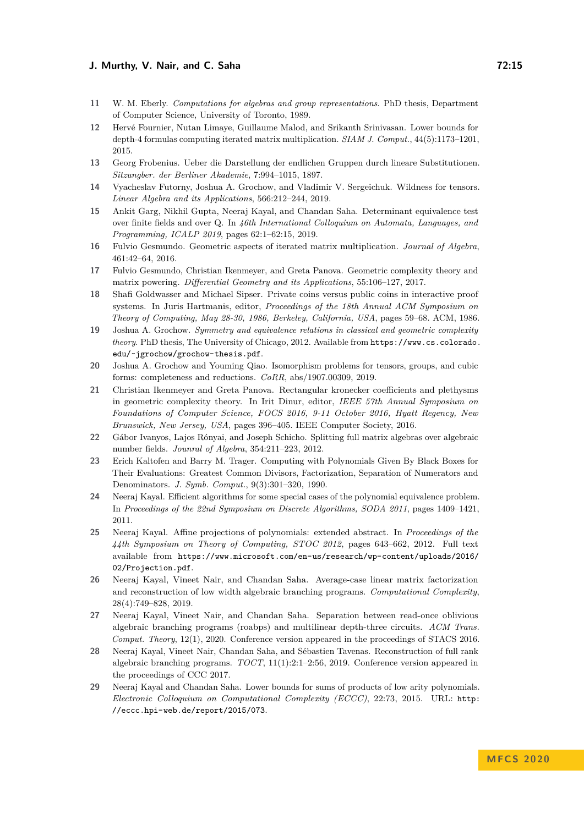- <span id="page-14-17"></span>**11** W. M. Eberly. *Computations for algebras and group representations*. PhD thesis, Department of Computer Science, University of Toronto, 1989.
- <span id="page-14-8"></span>**12** Hervé Fournier, Nutan Limaye, Guillaume Malod, and Srikanth Srinivasan. Lower bounds for depth-4 formulas computing iterated matrix multiplication. *SIAM J. Comput.*, 44(5):1173–1201, 2015.
- <span id="page-14-14"></span>**13** Georg Frobenius. Ueber die Darstellung der endlichen Gruppen durch lineare Substitutionen. *Sitzungber. der Berliner Akademie*, 7:994–1015, 1897.
- <span id="page-14-3"></span>**14** Vyacheslav Futorny, Joshua A. Grochow, and Vladimir V. Sergeichuk. Wildness for tensors. *Linear Algebra and its Applications*, 566:212–244, 2019.
- <span id="page-14-1"></span>**15** Ankit Garg, Nikhil Gupta, Neeraj Kayal, and Chandan Saha. Determinant equivalence test over finite fields and over Q. In *46th International Colloquium on Automata, Languages, and Programming, ICALP 2019*, pages 62:1–62:15, 2019.
- <span id="page-14-11"></span>**16** Fulvio Gesmundo. Geometric aspects of iterated matrix multiplication. *Journal of Algebra*, 461:42–64, 2016.
- <span id="page-14-12"></span>**17** Fulvio Gesmundo, Christian Ikenmeyer, and Greta Panova. Geometric complexity theory and matrix powering. *Differential Geometry and its Applications*, 55:106–127, 2017.
- <span id="page-14-4"></span>**18** Shafi Goldwasser and Michael Sipser. Private coins versus public coins in interactive proof systems. In Juris Hartmanis, editor, *Proceedings of the 18th Annual ACM Symposium on Theory of Computing, May 28-30, 1986, Berkeley, California, USA*, pages 59–68. ACM, 1986.
- <span id="page-14-13"></span>**19** Joshua A. Grochow. *Symmetry and equivalence relations in classical and geometric complexity theory*. PhD thesis, The University of Chicago, 2012. Available from [https://www.cs.colorado.](https://www.cs.colorado.edu/~jgrochow/grochow-thesis.pdf) [edu/~jgrochow/grochow-thesis.pdf](https://www.cs.colorado.edu/~jgrochow/grochow-thesis.pdf).
- <span id="page-14-2"></span>**20** Joshua A. Grochow and Youming Qiao. Isomorphism problems for tensors, groups, and cubic forms: completeness and reductions. *CoRR*, abs/1907.00309, 2019.
- <span id="page-14-15"></span>**21** Christian Ikenmeyer and Greta Panova. Rectangular kronecker coefficients and plethysms in geometric complexity theory. In Irit Dinur, editor, *IEEE 57th Annual Symposium on Foundations of Computer Science, FOCS 2016, 9-11 October 2016, Hyatt Regency, New Brunswick, New Jersey, USA*, pages 396–405. IEEE Computer Society, 2016.
- <span id="page-14-16"></span>**22** Gábor Ivanyos, Lajos Rónyai, and Joseph Schicho. Splitting full matrix algebras over algebraic number fields. *Jounral of Algebra*, 354:211–223, 2012.
- <span id="page-14-18"></span>**23** Erich Kaltofen and Barry M. Trager. Computing with Polynomials Given By Black Boxes for Their Evaluations: Greatest Common Divisors, Factorization, Separation of Numerators and Denominators. *J. Symb. Comput.*, 9(3):301–320, 1990.
- <span id="page-14-5"></span>**24** Neeraj Kayal. Efficient algorithms for some special cases of the polynomial equivalence problem. In *Proceedings of the 22nd Symposium on Discrete Algorithms, SODA 2011*, pages 1409–1421, 2011.
- <span id="page-14-6"></span>**25** Neeraj Kayal. Affine projections of polynomials: extended abstract. In *Proceedings of the 44th Symposium on Theory of Computing, STOC 2012*, pages 643–662, 2012. Full text available from [https://www.microsoft.com/en-us/research/wp-content/uploads/2016/](https://www.microsoft.com/en-us/research/wp-content/uploads/2016/02/Projection.pdf) [02/Projection.pdf](https://www.microsoft.com/en-us/research/wp-content/uploads/2016/02/Projection.pdf).
- <span id="page-14-7"></span>**26** Neeraj Kayal, Vineet Nair, and Chandan Saha. Average-case linear matrix factorization and reconstruction of low width algebraic branching programs. *Computational Complexity*, 28(4):749–828, 2019.
- <span id="page-14-9"></span>**27** Neeraj Kayal, Vineet Nair, and Chandan Saha. Separation between read-once oblivious algebraic branching programs (roabps) and multilinear depth-three circuits. *ACM Trans. Comput. Theory*, 12(1), 2020. Conference version appeared in the proceedings of STACS 2016.
- <span id="page-14-0"></span>**28** Neeraj Kayal, Vineet Nair, Chandan Saha, and Sébastien Tavenas. Reconstruction of full rank algebraic branching programs. *TOCT*, 11(1):2:1–2:56, 2019. Conference version appeared in the proceedings of CCC 2017.
- <span id="page-14-10"></span>**29** Neeraj Kayal and Chandan Saha. Lower bounds for sums of products of low arity polynomials. *Electronic Colloquium on Computational Complexity (ECCC)*, 22:73, 2015. URL: [http:](http://eccc.hpi-web.de/report/2015/073) [//eccc.hpi-web.de/report/2015/073](http://eccc.hpi-web.de/report/2015/073).